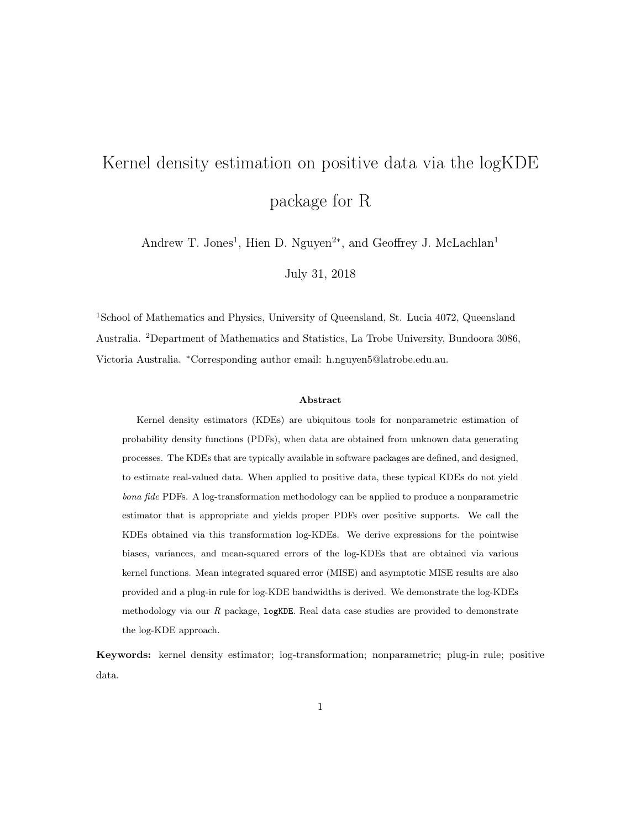# Kernel density estimation on positive data via the logKDE package for R

Andrew T. Jones<sup>1</sup>, Hien D. Nguyen<sup>2\*</sup>, and Geoffrey J. McLachlan<sup>1</sup>

July 31, 2018

<sup>1</sup>School of Mathematics and Physics, University of Queensland, St. Lucia 4072, Queensland Australia. <sup>2</sup>Department of Mathematics and Statistics, La Trobe University, Bundoora 3086, Victoria Australia. <sup>∗</sup>Corresponding author email: h.nguyen5@latrobe.edu.au.

#### Abstract

Kernel density estimators (KDEs) are ubiquitous tools for nonparametric estimation of probability density functions (PDFs), when data are obtained from unknown data generating processes. The KDEs that are typically available in software packages are defined, and designed, to estimate real-valued data. When applied to positive data, these typical KDEs do not yield bona fide PDFs. A log-transformation methodology can be applied to produce a nonparametric estimator that is appropriate and yields proper PDFs over positive supports. We call the KDEs obtained via this transformation log-KDEs. We derive expressions for the pointwise biases, variances, and mean-squared errors of the log-KDEs that are obtained via various kernel functions. Mean integrated squared error (MISE) and asymptotic MISE results are also provided and a plug-in rule for log-KDE bandwidths is derived. We demonstrate the log-KDEs methodology via our  $R$  package,  $log KDE$ . Real data case studies are provided to demonstrate the log-KDE approach.

Keywords: kernel density estimator; log-transformation; nonparametric; plug-in rule; positive data.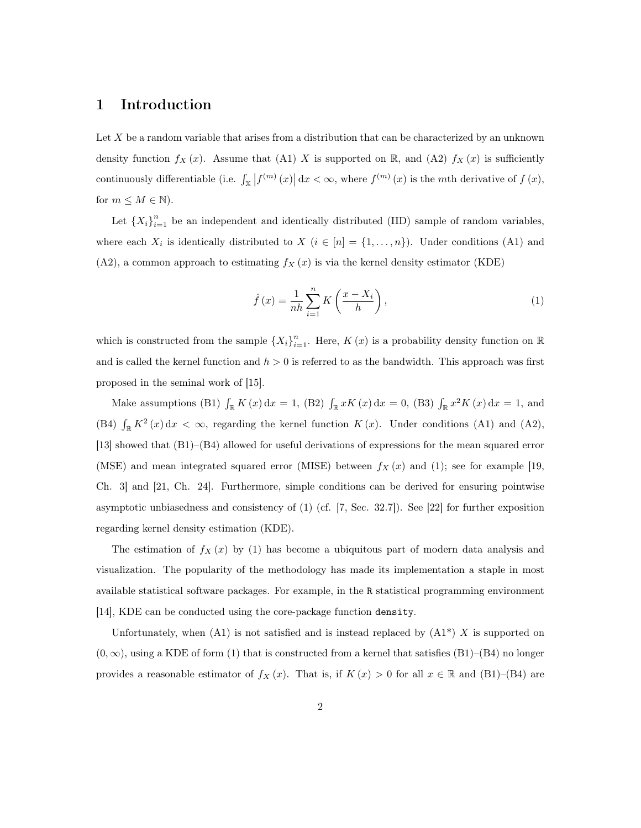# 1 Introduction

Let  $X$  be a random variable that arises from a distribution that can be characterized by an unknown density function  $f_X(x)$ . Assume that (A1) X is supported on R, and (A2)  $f_X(x)$  is sufficiently continuously differentiable (i.e.  $\int_{\mathbb{X}} |f^{(m)}(x)| dx < \infty$ , where  $f^{(m)}(x)$  is the mth derivative of  $f(x)$ , for  $m \leq M \in \mathbb{N}$ .

Let  ${X_i}_{i=1}^n$  be an independent and identically distributed (IID) sample of random variables, where each  $X_i$  is identically distributed to  $X$   $(i \in [n] = \{1, ..., n\})$ . Under conditions (A1) and  $(A2)$ , a common approach to estimating  $f_X(x)$  is via the kernel density estimator (KDE)

$$
\hat{f}(x) = \frac{1}{nh} \sum_{i=1}^{n} K\left(\frac{x - X_i}{h}\right),\tag{1}
$$

which is constructed from the sample  $\{X_i\}_{i=1}^n$ . Here,  $K(x)$  is a probability density function on  $\mathbb R$ and is called the kernel function and  $h > 0$  is referred to as the bandwidth. This approach was first proposed in the seminal work of [15].

Make assumptions (B1)  $\int_{\mathbb{R}} K(x) dx = 1$ , (B2)  $\int_{\mathbb{R}} xK(x) dx = 0$ , (B3)  $\int_{\mathbb{R}} x^2K(x) dx = 1$ , and (B4)  $\int_{\mathbb{R}} K^2(x) dx < \infty$ , regarding the kernel function  $K(x)$ . Under conditions (A1) and (A2), [13] showed that (B1)–(B4) allowed for useful derivations of expressions for the mean squared error (MSE) and mean integrated squared error (MISE) between  $f_X(x)$  and (1); see for example [19, Ch. 3] and [21, Ch. 24]. Furthermore, simple conditions can be derived for ensuring pointwise asymptotic unbiasedness and consistency of (1) (cf. [7, Sec. 32.7]). See [22] for further exposition regarding kernel density estimation (KDE).

The estimation of  $f_X(x)$  by (1) has become a ubiquitous part of modern data analysis and visualization. The popularity of the methodology has made its implementation a staple in most available statistical software packages. For example, in the R statistical programming environment [14], KDE can be conducted using the core-package function density.

Unfortunately, when  $(A1)$  is not satisfied and is instead replaced by  $(A1^*) X$  is supported on  $(0, \infty)$ , using a KDE of form (1) that is constructed from a kernel that satisfies (B1)–(B4) no longer provides a reasonable estimator of  $f_X(x)$ . That is, if  $K(x) > 0$  for all  $x \in \mathbb{R}$  and (B1)–(B4) are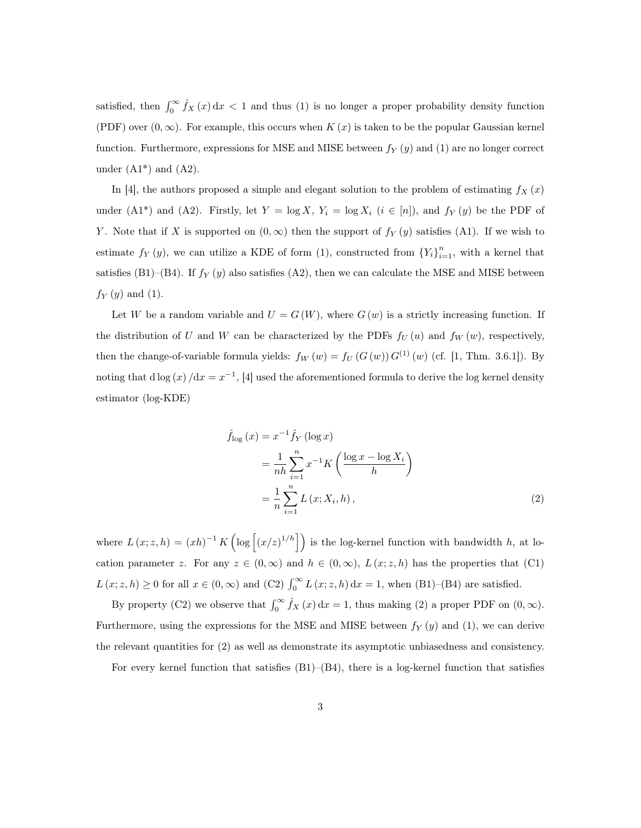satisfied, then  $\int_0^\infty \hat{f}_X(x) dx < 1$  and thus (1) is no longer a proper probability density function (PDF) over  $(0, \infty)$ . For example, this occurs when  $K(x)$  is taken to be the popular Gaussian kernel function. Furthermore, expressions for MSE and MISE between  $f_Y(y)$  and (1) are no longer correct under  $(A1^*)$  and  $(A2)$ .

In [4], the authors proposed a simple and elegant solution to the problem of estimating  $f_X(x)$ under (A1<sup>\*</sup>) and (A2). Firstly, let  $Y = \log X$ ,  $Y_i = \log X_i$  ( $i \in [n]$ ), and  $f_Y(y)$  be the PDF of Y. Note that if X is supported on  $(0, \infty)$  then the support of  $f_Y(y)$  satisfies (A1). If we wish to estimate  $f_Y(y)$ , we can utilize a KDE of form (1), constructed from  ${Y_i}_{i=1}^n$ , with a kernel that satisfies (B1)–(B4). If  $f_Y(y)$  also satisfies (A2), then we can calculate the MSE and MISE between  $f_Y(y)$  and (1).

Let W be a random variable and  $U = G(W)$ , where  $G(w)$  is a strictly increasing function. If the distribution of U and W can be characterized by the PDFs  $f_U(u)$  and  $f_W(w)$ , respectively, then the change-of-variable formula yields:  $f_W(w) = f_U(G(w))G^{(1)}(w)$  (cf. [1, Thm. 3.6.1]). By noting that d log  $(x) / dx = x^{-1}$ , [4] used the aforementioned formula to derive the log kernel density estimator (log-KDE)

$$
\hat{f}_{\log}(x) = x^{-1} \hat{f}_Y (\log x) \n= \frac{1}{nh} \sum_{i=1}^n x^{-1} K\left(\frac{\log x - \log X_i}{h}\right) \n= \frac{1}{n} \sum_{i=1}^n L(x; X_i, h),
$$
\n(2)

where  $L(x; z, h) = (xh)^{-1} K(\log |(x/z)^{1/h}|)$  is the log-kernel function with bandwidth h, at location parameter z. For any  $z \in (0, \infty)$  and  $h \in (0, \infty)$ ,  $L(x; z, h)$  has the properties that (C1)  $L(x; z, h) \ge 0$  for all  $x \in (0, \infty)$  and  $(C2) \int_0^\infty L(x; z, h) dx = 1$ , when  $(B1)$ – $(B4)$  are satisfied.

By property (C2) we observe that  $\int_0^\infty \hat{f}_X(x) dx = 1$ , thus making (2) a proper PDF on  $(0, \infty)$ . Furthermore, using the expressions for the MSE and MISE between  $f_Y(y)$  and (1), we can derive the relevant quantities for (2) as well as demonstrate its asymptotic unbiasedness and consistency.

For every kernel function that satisfies  $(B1)$ – $(B4)$ , there is a log-kernel function that satisfies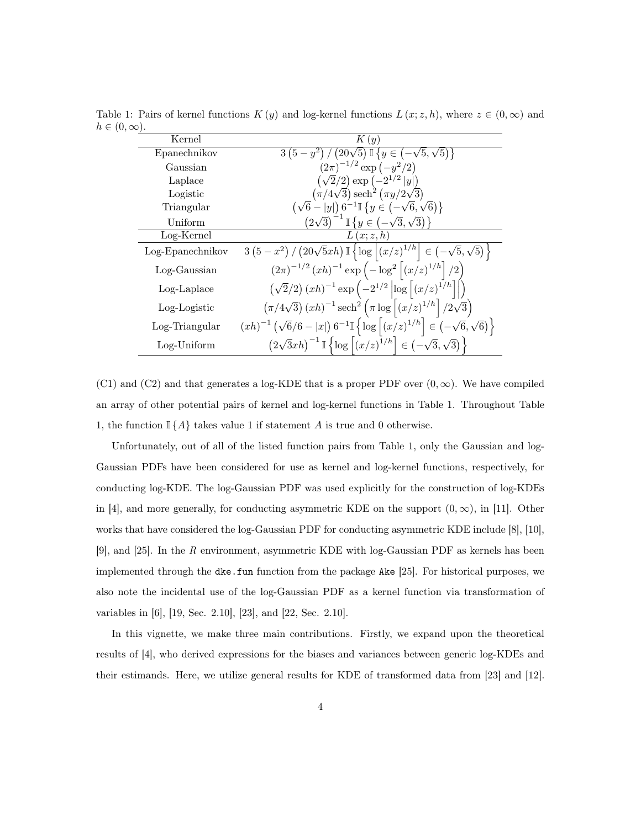| $\sim$ ( $\sim$ ) $\sim$ ) $\cdot$ |                                                                                                                                                               |
|------------------------------------|---------------------------------------------------------------------------------------------------------------------------------------------------------------|
| Kernel                             | K(y)                                                                                                                                                          |
| Epanechnikov                       | $\frac{3(5-y^2)}{(20\sqrt{5})}\mathbb{I}\left\{y \in (-\sqrt{5},\sqrt{5})\right\}$                                                                            |
| Gaussian                           | $(2\pi)^{-1/2} \exp(-y^2/2)$                                                                                                                                  |
| Laplace                            | $(\sqrt{2}/2) \exp(-2^{1/2} y )$                                                                                                                              |
| Logistic                           | $(\pi/4\sqrt{3}) \operatorname{sech}^2(\pi y/2\sqrt{3})$                                                                                                      |
| Triangular                         | $(\sqrt{6}- y ) 6^{-1} \mathbb{I} \{y \in (-\sqrt{6},\sqrt{6})\}$                                                                                             |
| Uniform                            | $(2\sqrt{3})^{-1}$ $\mathbb{I}\left\{y \in (-\sqrt{3},\sqrt{3})\right\}$                                                                                      |
| Log-Kernel                         | L(x; z, h)                                                                                                                                                    |
| Log-Epanechnikov                   | $3(5-x^2)/(20\sqrt{5}xh)\mathbb{I}\{\log  (x/z)^{1/h}  \in (-\sqrt{5},\sqrt{5})\}$                                                                            |
| Log-Gaussian                       | $(2\pi)^{-1/2} (xh)^{-1} \exp(-\log^2  (x/z)^{1/h} /2)$                                                                                                       |
| Log-Laplace                        | $(\sqrt{2}/2) (xh)^{-1} \exp \left(-2^{1/2} \left  \log \left( \frac{x}{z} \right)^{1/h} \right  \right)$                                                     |
| Log-Logistic                       | $(\pi/4\sqrt{3}) (xh)^{-1} \text{sech}^2 (\pi \log  (x/z)^{1/h}  / 2\sqrt{3})$                                                                                |
| Log-Triangular                     | $\left(xh\right)^{-1}\left(\sqrt{6}/6 -  x \right)6^{-1}\mathbb{I}\left\{\log\left[\left(x/z\right)^{1/h}\right] \in \left(-\sqrt{6},\sqrt{6}\right)\right\}$ |
| $Log-Uniform$                      | $(2\sqrt{3}xh)^{-1}$ $\mathbb{I}\left\{\log\left[(x/z)^{1/h}\right] \in (-\sqrt{3},\sqrt{3})\right\}$                                                         |

Table 1: Pairs of kernel functions  $K(y)$  and log-kernel functions  $L(x; z, h)$ , where  $z \in (0, \infty)$  and  $h \in (0, \infty)$ 

(C1) and (C2) and that generates a log-KDE that is a proper PDF over  $(0, \infty)$ . We have compiled an array of other potential pairs of kernel and log-kernel functions in Table 1. Throughout Table 1, the function  $\mathbb{I}\{\hat{A}\}\$  takes value 1 if statement  $\hat{A}$  is true and 0 otherwise.

Unfortunately, out of all of the listed function pairs from Table 1, only the Gaussian and log-Gaussian PDFs have been considered for use as kernel and log-kernel functions, respectively, for conducting log-KDE. The log-Gaussian PDF was used explicitly for the construction of log-KDEs in [4], and more generally, for conducting asymmetric KDE on the support  $(0, \infty)$ , in [11]. Other works that have considered the log-Gaussian PDF for conducting asymmetric KDE include [8], [10], [9], and [25]. In the *R* environment, asymmetric KDE with log-Gaussian PDF as kernels has been implemented through the dke.fun function from the package Ake [25]. For historical purposes, we also note the incidental use of the log-Gaussian PDF as a kernel function via transformation of variables in [6], [19, Sec. 2.10], [23], and [22, Sec. 2.10].

In this vignette, we make three main contributions. Firstly, we expand upon the theoretical results of [4], who derived expressions for the biases and variances between generic log-KDEs and their estimands. Here, we utilize general results for KDE of transformed data from [23] and [12].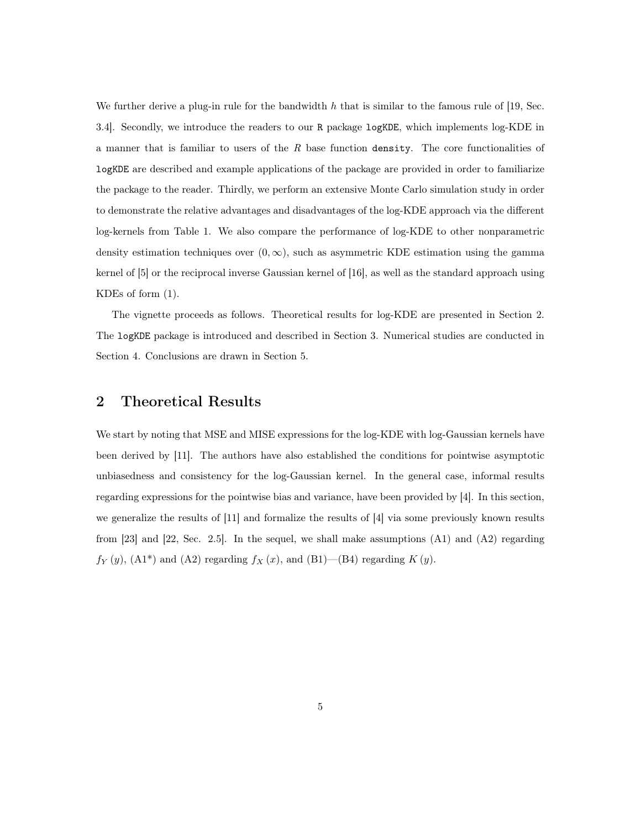We further derive a plug-in rule for the bandwidth h that is similar to the famous rule of [19, Sec. 3.4]. Secondly, we introduce the readers to our R package logKDE, which implements log-KDE in a manner that is familiar to users of the *R* base function density. The core functionalities of logKDE are described and example applications of the package are provided in order to familiarize the package to the reader. Thirdly, we perform an extensive Monte Carlo simulation study in order to demonstrate the relative advantages and disadvantages of the log-KDE approach via the different log-kernels from Table 1. We also compare the performance of log-KDE to other nonparametric density estimation techniques over  $(0, \infty)$ , such as asymmetric KDE estimation using the gamma kernel of [5] or the reciprocal inverse Gaussian kernel of [16], as well as the standard approach using KDEs of form (1).

The vignette proceeds as follows. Theoretical results for log-KDE are presented in Section 2. The logKDE package is introduced and described in Section 3. Numerical studies are conducted in Section 4. Conclusions are drawn in Section 5.

# 2 Theoretical Results

We start by noting that MSE and MISE expressions for the log-KDE with log-Gaussian kernels have been derived by [11]. The authors have also established the conditions for pointwise asymptotic unbiasedness and consistency for the log-Gaussian kernel. In the general case, informal results regarding expressions for the pointwise bias and variance, have been provided by [4]. In this section, we generalize the results of [11] and formalize the results of [4] via some previously known results from [23] and [22, Sec. 2.5]. In the sequel, we shall make assumptions  $(A1)$  and  $(A2)$  regarding  $f_Y(y)$ ,  $(A1^*)$  and  $(A2)$  regarding  $f_X(x)$ , and  $(B1)$ — $(B4)$  regarding  $K(y)$ .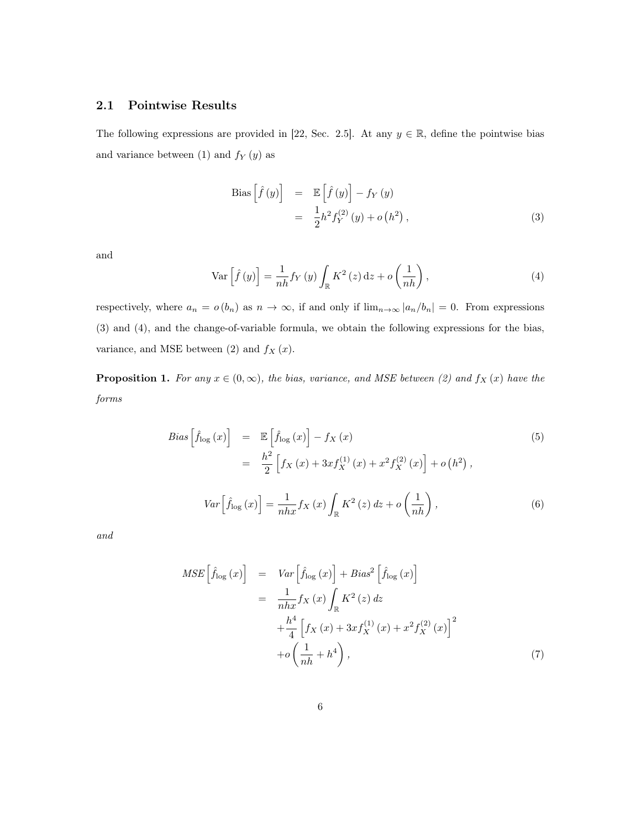## 2.1 Pointwise Results

The following expressions are provided in [22, Sec. 2.5]. At any  $y \in \mathbb{R}$ , define the pointwise bias and variance between (1) and  $f_{Y}\left(y\right)$  as

Bias 
$$
\left[\hat{f}(y)\right]
$$
 =  $\mathbb{E}\left[\hat{f}(y)\right] - f_Y(y)$   
 =  $\frac{1}{2}h^2 f_Y^{(2)}(y) + o(h^2)$ , (3)

and

$$
\operatorname{Var}\left[\hat{f}\left(y\right)\right] = \frac{1}{nh} f_Y\left(y\right) \int_{\mathbb{R}} K^2\left(z\right) \mathrm{d}z + o\left(\frac{1}{nh}\right),\tag{4}
$$

respectively, where  $a_n = o(b_n)$  as  $n \to \infty$ , if and only if  $\lim_{n \to \infty} |a_n/b_n| = 0$ . From expressions (3) and (4), and the change-of-variable formula, we obtain the following expressions for the bias, variance, and MSE between  $(2)$  and  $f_X(x)$ .

**Proposition 1.** For any  $x \in (0, \infty)$ , the bias, variance, and MSE between (2) and  $f_X(x)$  have the *forms*

$$
Bias\left[\hat{f}_{\log}(x)\right] = \mathbb{E}\left[\hat{f}_{\log}(x)\right] - f_X(x) \tag{5}
$$
\n
$$
= \frac{h^2}{2} \left[f_X(x) + 3xf_X^{(1)}(x) + x^2f_X^{(2)}(x)\right] + o\left(h^2\right),
$$
\n
$$
Var\left[\hat{f}_{\log}(x)\right] = \frac{1}{nhx}f_X(x)\int_{\mathbb{R}} K^2(z) dz + o\left(\frac{1}{nh}\right), \tag{6}
$$

*and*

$$
MSE\left[\hat{f}_{\log}\left(x\right)\right] = Var\left[\hat{f}_{\log}\left(x\right)\right] + Bias^2\left[\hat{f}_{\log}\left(x\right)\right]
$$

$$
= \frac{1}{nhx}f_X\left(x\right)\int_{\mathbb{R}} K^2\left(z\right)dz
$$

$$
+ \frac{h^4}{4}\left[f_X\left(x\right) + 3xf_X^{(1)}\left(x\right) + x^2f_X^{(2)}\left(x\right)\right]^2
$$

$$
+ o\left(\frac{1}{nh} + h^4\right), \tag{7}
$$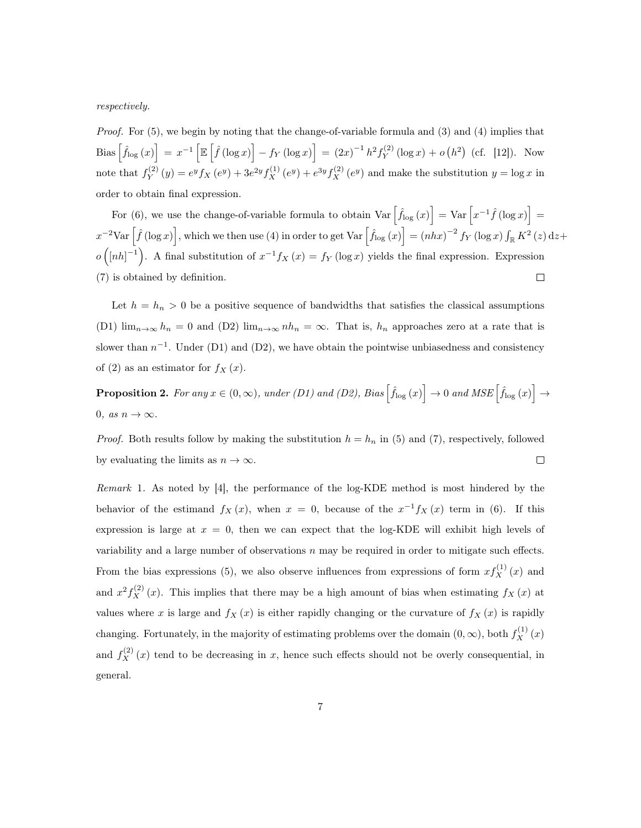*respectively.*

*Proof.* For (5), we begin by noting that the change-of-variable formula and (3) and (4) implies that Bias  $\left[\hat{f}_{\log}(x)\right] = x^{-1} \left[\mathbb{E}\left[\hat{f}(\log x)\right] - f_Y(\log x)\right] = (2x)^{-1} h^2 f_Y^{(2)}$  $Y(Y^{(2)}(\log x) + o(h^2)$  (cf. [12]). Now note that  $f_Y^{(2)}$  $y_Y^{(2)}(y) = e^y f_X(e^y) + 3e^{2y} f_X^{(1)}(e^y) + e^{3y} f_X^{(2)}(e^y)$  and make the substitution  $y = \log x$  in order to obtain final expression.

For (6), we use the change-of-variable formula to obtain  $Var\left[\hat{f}_{log}(x)\right] = Var\left[x^{-1}\hat{f}(\log x)\right] =$  $x^{-2} \text{Var}\left[\hat{f}\left(\log x\right)\right]$ , which we then use (4) in order to get  $\text{Var}\left[\hat{f}_{\log}\left(x\right)\right] = \left(nhx\right)^{-2} f_Y\left(\log x\right) \int_{\mathbb{R}} K^2\left(z\right) \text{d}z +$  $o([nh]^{-1})$ . A final substitution of  $x^{-1}f_X(x) = f_Y(\log x)$  yields the final expression. Expression (7) is obtained by definition.  $\Box$ 

Let  $h = h_n > 0$  be a positive sequence of bandwidths that satisfies the classical assumptions (D1)  $\lim_{n\to\infty} h_n = 0$  and (D2)  $\lim_{n\to\infty} nh_n = \infty$ . That is,  $h_n$  approaches zero at a rate that is slower than  $n^{-1}$ . Under (D1) and (D2), we have obtain the pointwise unbiasedness and consistency of (2) as an estimator for  $f_X(x)$ .

 $\textbf{Proposition 2.} \ \textit{For any} \ x \in (0, \infty), \ \textit{under (D1) and (D2), \ \textit{Bias}\left[\hat{f}_{\log}(x)\right] \rightarrow 0 \ \textit{and} \ \textit{MSE}\left[\hat{f}_{\log}(x)\right] \rightarrow 0$ 0*,* as  $n \to \infty$ .

*Proof.* Both results follow by making the substitution  $h = h_n$  in (5) and (7), respectively, followed by evaluating the limits as  $n \to \infty$ .  $\Box$ 

*Remark* 1*.* As noted by [4], the performance of the log-KDE method is most hindered by the behavior of the estimand  $f_X(x)$ , when  $x = 0$ , because of the  $x^{-1}f_X(x)$  term in (6). If this expression is large at  $x = 0$ , then we can expect that the log-KDE will exhibit high levels of variability and a large number of observations  $n$  may be required in order to mitigate such effects. From the bias expressions (5), we also observe influences from expressions of form  $xf_X^{(1)}(x)$  and and  $x^2 f_X^{(2)}(x)$ . This implies that there may be a high amount of bias when estimating  $f_X(x)$  at values where x is large and  $f_X(x)$  is either rapidly changing or the curvature of  $f_X(x)$  is rapidly changing. Fortunately, in the majority of estimating problems over the domain  $(0, \infty)$ , both  $f_X^{(1)}(x)$ and  $f_X^{(2)}(x)$  tend to be decreasing in x, hence such effects should not be overly consequential, in general.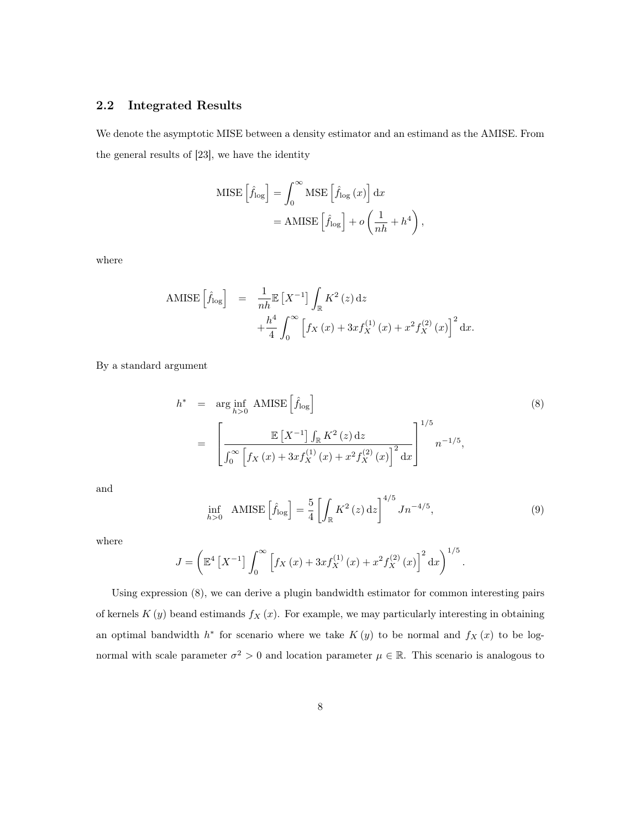## 2.2 Integrated Results

We denote the asymptotic MISE between a density estimator and an estimand as the AMISE. From the general results of [23], we have the identity

MISE 
$$
\left[\hat{f}_{\text{log}}\right] = \int_0^\infty \text{MSE} \left[\hat{f}_{\text{log}}(x)\right] dx
$$
  
= AMISE  $\left[\hat{f}_{\text{log}}\right] + o\left(\frac{1}{nh} + h^4\right)$ ,

where

AMISE 
$$
\left[\hat{f}_{\text{log}}\right]
$$
 =  $\frac{1}{nh} \mathbb{E}\left[X^{-1}\right] \int_{\mathbb{R}} K^{2}(z) dz$   
  $+\frac{h^{4}}{4} \int_{0}^{\infty} \left[f_{X}(x) + 3xf_{X}^{(1)}(x) + x^{2}f_{X}^{(2)}(x)\right]^{2} dx.$ 

By a standard argument

$$
h^* = \arg\inf_{h>0} AMISE\left[\hat{f}_{\log}\right]
$$
\n
$$
= \left[\frac{\mathbb{E}\left[X^{-1}\right] \int_{\mathbb{R}} K^2(z) dz}{\int_0^\infty \left[f_X(x) + 3xf_X^{(1)}(x) + x^2f_X^{(2)}(x)\right]^2 dx}\right]^{1/5} n^{-1/5},
$$
\n(8)

and

$$
\inf_{h>0} \quad \text{AMISE}\left[\hat{f}_{\log}\right] = \frac{5}{4} \left[ \int_{\mathbb{R}} K^2\left(z\right) \mathrm{d}z \right]^{4/5} J n^{-4/5},\tag{9}
$$

where

$$
J = \left( \mathbb{E}^4 \left[ X^{-1} \right] \int_0^\infty \left[ f_X \left( x \right) + 3x f_X^{(1)} \left( x \right) + x^2 f_X^{(2)} \left( x \right) \right]^2 \mathrm{d}x \right)^{1/5}.
$$

Using expression (8), we can derive a plugin bandwidth estimator for common interesting pairs of kernels  $K(y)$  beand estimands  $f_X(x)$ . For example, we may particularly interesting in obtaining an optimal bandwidth  $h^*$  for scenario where we take  $K(y)$  to be normal and  $f_X(x)$  to be lognormal with scale parameter  $\sigma^2 > 0$  and location parameter  $\mu \in \mathbb{R}$ . This scenario is analogous to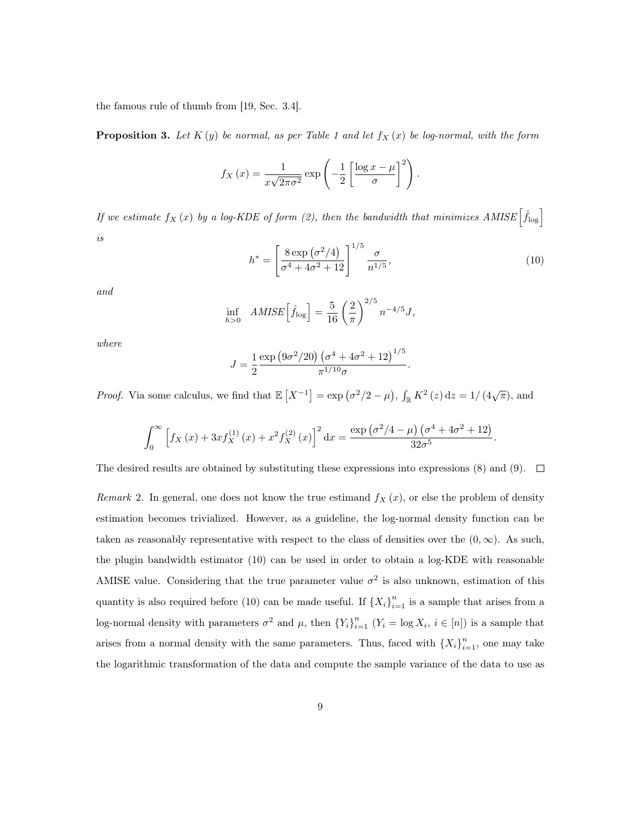the famous rule of thumb from [19, Sec. 3.4].

**Proposition 3.** Let  $K(y)$  be normal, as per Table 1 and let  $f_X(x)$  be log-normal, with the form

$$
f_X(x) = \frac{1}{x\sqrt{2\pi\sigma^2}} \exp\left(-\frac{1}{2}\left[\frac{\log x - \mu}{\sigma}\right]^2\right).
$$

*If we estimate*  $f_X(x)$  *by a log-KDE of form (2), then the bandwidth that minimizes AMISE*  $\left[\hat{f}_{\text{log}}\right]$ *is*

$$
h^* = \left[\frac{8 \exp\left(\sigma^2/4\right)}{\sigma^4 + 4\sigma^2 + 12}\right]^{1/5} \frac{\sigma}{n^{1/5}},\tag{10}
$$

*and*

$$
\inf_{h>0} \quad AMISE\left[\hat{f}_{\log}\right] = \frac{5}{16} \left(\frac{2}{\pi}\right)^{2/5} n^{-4/5} J,
$$

*where*

$$
J = \frac{1}{2} \frac{\exp (9\sigma^2/20) (\sigma^4 + 4\sigma^2 + 12)^{1/5}}{\pi^{1/10} \sigma}.
$$

*Proof.* Via some calculus, we find that  $\mathbb{E}[X^{-1}] = \exp(\sigma^2/2 - \mu)$ ,  $\int_{\mathbb{R}} K^2(z) dz = 1/(4\sqrt{\pi})$ , and

$$
\int_0^\infty \left[ f_X(x) + 3xf_X^{(1)}(x) + x^2 f_X^{(2)}(x) \right]^2 dx = \frac{\exp\left(\sigma^2/4 - \mu\right) \left(\sigma^4 + 4\sigma^2 + 12\right)}{32\sigma^5}.
$$

The desired results are obtained by substituting these expressions into expressions (8) and (9).  $\Box$ 

*Remark* 2. In general, one does not know the true estimand  $f_X(x)$ , or else the problem of density estimation becomes trivialized. However, as a guideline, the log-normal density function can be taken as reasonably representative with respect to the class of densities over the  $(0, \infty)$ . As such, the plugin bandwidth estimator (10) can be used in order to obtain a log-KDE with reasonable AMISE value. Considering that the true parameter value  $\sigma^2$  is also unknown, estimation of this quantity is also required before (10) can be made useful. If  $\{X_i\}_{i=1}^n$  is a sample that arises from a log-normal density with parameters  $\sigma^2$  and  $\mu$ , then  $\{Y_i\}_{i=1}^n$   $(Y_i = \log X_i, i \in [n])$  is a sample that arises from a normal density with the same parameters. Thus, faced with  $\{X_i\}_{i=1}^n$ , one may take the logarithmic transformation of the data and compute the sample variance of the data to use as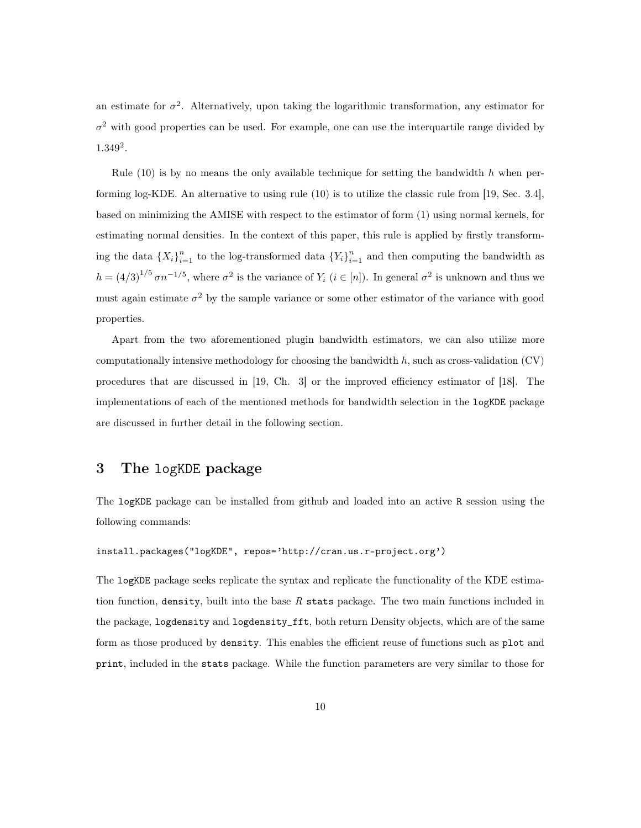an estimate for  $\sigma^2$ . Alternatively, upon taking the logarithmic transformation, any estimator for  $\sigma^2$  with good properties can be used. For example, one can use the interquartile range divided by 1.349<sup>2</sup> .

Rule  $(10)$  is by no means the only available technique for setting the bandwidth h when performing log-KDE. An alternative to using rule (10) is to utilize the classic rule from [19, Sec. 3.4], based on minimizing the AMISE with respect to the estimator of form (1) using normal kernels, for estimating normal densities. In the context of this paper, this rule is applied by firstly transforming the data  $\{X_i\}_{i=1}^n$  to the log-transformed data  $\{Y_i\}_{i=1}^n$  and then computing the bandwidth as  $h = (4/3)^{1/5} \sigma n^{-1/5}$ , where  $\sigma^2$  is the variance of  $Y_i$   $(i \in [n])$ . In general  $\sigma^2$  is unknown and thus we must again estimate  $\sigma^2$  by the sample variance or some other estimator of the variance with good properties.

Apart from the two aforementioned plugin bandwidth estimators, we can also utilize more computationally intensive methodology for choosing the bandwidth  $h$ , such as cross-validation (CV) procedures that are discussed in [19, Ch. 3] or the improved efficiency estimator of [18]. The implementations of each of the mentioned methods for bandwidth selection in the logKDE package are discussed in further detail in the following section.

# 3 The logKDE package

The logKDE package can be installed from github and loaded into an active R session using the following commands:

#### install.packages("logKDE", repos='http://cran.us.r-project.org')

The logKDE package seeks replicate the syntax and replicate the functionality of the KDE estimation function, density, built into the base *R* stats package. The two main functions included in the package, logdensity and logdensity\_fft, both return Density objects, which are of the same form as those produced by density. This enables the efficient reuse of functions such as plot and print, included in the stats package. While the function parameters are very similar to those for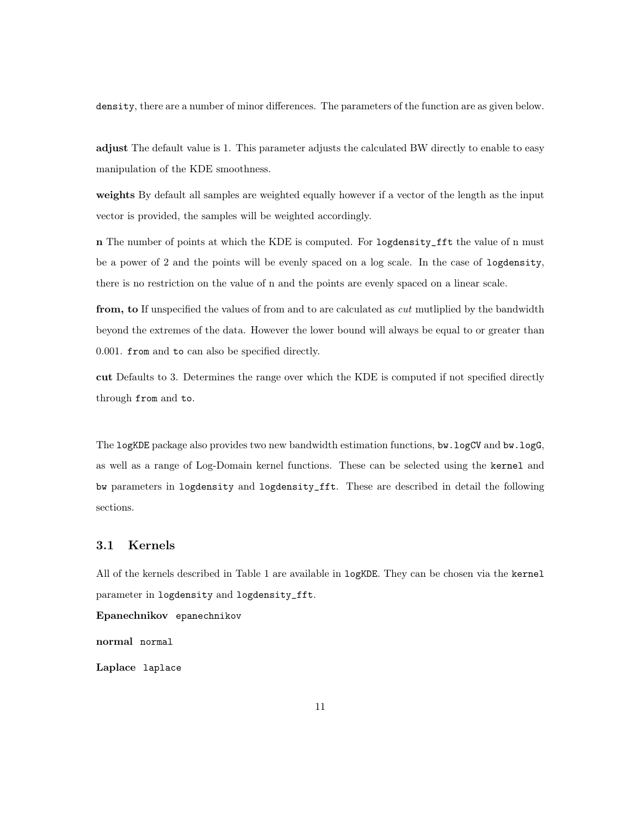density, there are a number of minor differences. The parameters of the function are as given below.

adjust The default value is 1. This parameter adjusts the calculated BW directly to enable to easy manipulation of the KDE smoothness.

weights By default all samples are weighted equally however if a vector of the length as the input vector is provided, the samples will be weighted accordingly.

n The number of points at which the KDE is computed. For logdensity\_fft the value of n must be a power of 2 and the points will be evenly spaced on a log scale. In the case of logdensity, there is no restriction on the value of n and the points are evenly spaced on a linear scale.

from, to If unspecified the values of from and to are calculated as *cut* mutliplied by the bandwidth beyond the extremes of the data. However the lower bound will always be equal to or greater than 0.001. from and to can also be specified directly.

cut Defaults to 3. Determines the range over which the KDE is computed if not specified directly through from and to.

The logKDE package also provides two new bandwidth estimation functions, bw.logCV and bw.logG, as well as a range of Log-Domain kernel functions. These can be selected using the kernel and bw parameters in logdensity and logdensity\_fft. These are described in detail the following sections.

## 3.1 Kernels

All of the kernels described in Table 1 are available in logKDE. They can be chosen via the kernel parameter in logdensity and logdensity\_fft.

Epanechnikov epanechnikov

normal normal

Laplace laplace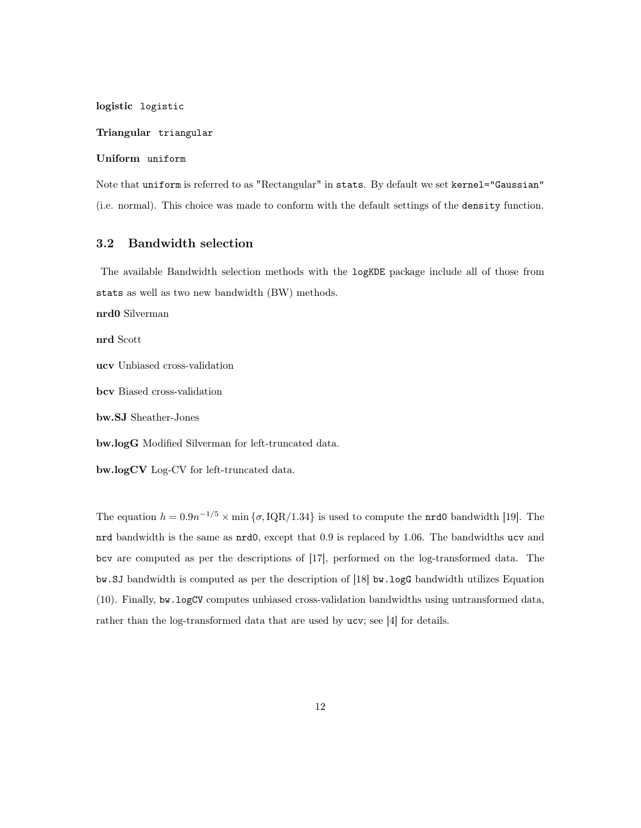logistic logistic

#### Triangular triangular

## Uniform uniform

Note that uniform is referred to as "Rectangular" in stats. By default we set kernel="Gaussian" (i.e. normal). This choice was made to conform with the default settings of the density function.

## 3.2 Bandwidth selection

The available Bandwidth selection methods with the logKDE package include all of those from stats as well as two new bandwidth (BW) methods.

nrd0 Silverman

nrd Scott

ucv Unbiased cross-validation

bcv Biased cross-validation

bw.SJ Sheather-Jones

bw.logG Modified Silverman for left-truncated data.

bw.logCV Log-CV for left-truncated data.

The equation  $h = 0.9n^{-1/5} \times \min{\{\sigma, \text{IQR}/1.34\}}$  is used to compute the **nrd0** bandwidth [19]. The nrd bandwidth is the same as nrd0, except that 0.9 is replaced by 1.06. The bandwidths ucv and bcv are computed as per the descriptions of [17], performed on the log-transformed data. The bw.SJ bandwidth is computed as per the description of [18] bw.logG bandwidth utilizes Equation (10). Finally, bw.logCV computes unbiased cross-validation bandwidths using untransformed data, rather than the log-transformed data that are used by ucv; see [4] for details.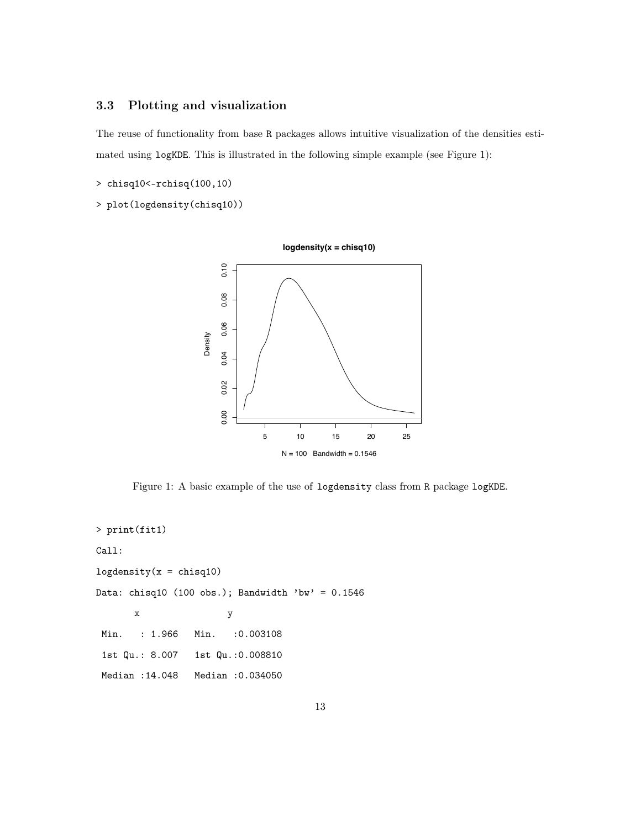# 3.3 Plotting and visualization

The reuse of functionality from base R packages allows intuitive visualization of the densities estimated using logKDE. This is illustrated in the following simple example (see Figure 1):

- > chisq10<-rchisq(100,10)
- > plot(logdensity(chisq10))



Figure 1: A basic example of the use of logdensity class from R package logKDE.

```
> print(fit1)
Call:
logdensity(x = \text{chisq10})
Data: chisq10 (100 obs.); Bandwidth 'bw' = 0.1546x y
Min. : 1.966 Min. : 0.003108
1st Qu.: 8.007 1st Qu.:0.008810
Median :14.048 Median :0.034050
```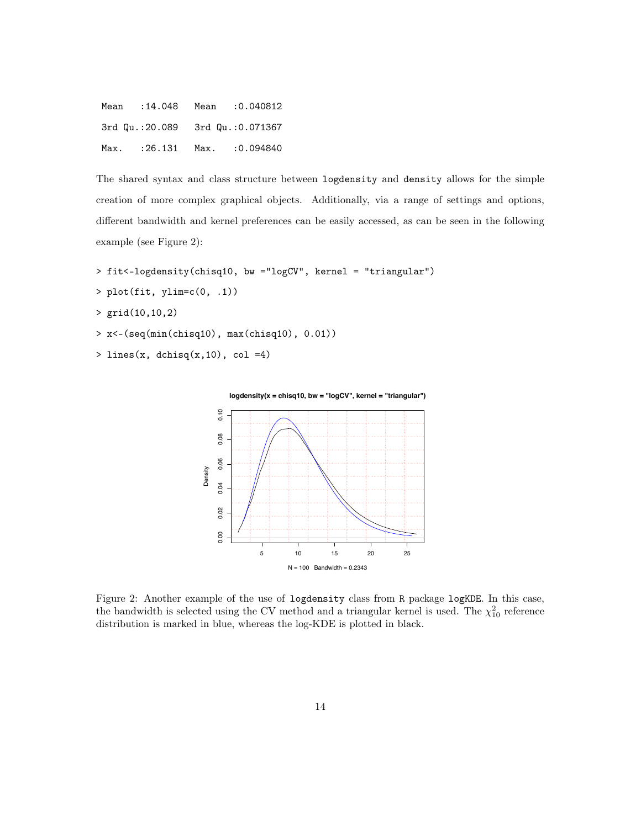| Mean |  | $:14.048$ Mean $:0.040812$      |
|------|--|---------------------------------|
|      |  | 3rd Qu.:20.089 3rd Qu.:0.071367 |
|      |  | Max. : 26.131 Max. : 0.094840   |

The shared syntax and class structure between logdensity and density allows for the simple creation of more complex graphical objects. Additionally, via a range of settings and options, different bandwidth and kernel preferences can be easily accessed, as can be seen in the following example (see Figure 2):

> fit<-logdensity(chisq10, bw ="logCV", kernel = "triangular")

- $> plot(fit, ylim=c(0, .1))$
- > grid(10,10,2)
- > x<-(seq(min(chisq10), max(chisq10), 0.01))
- > lines(x, dchisq $(x, 10)$ , col =4)



Figure 2: Another example of the use of logdensity class from R package logKDE. In this case, the bandwidth is selected using the CV method and a triangular kernel is used. The  $\chi_{10}^2$  reference distribution is marked in blue, whereas the log-KDE is plotted in black.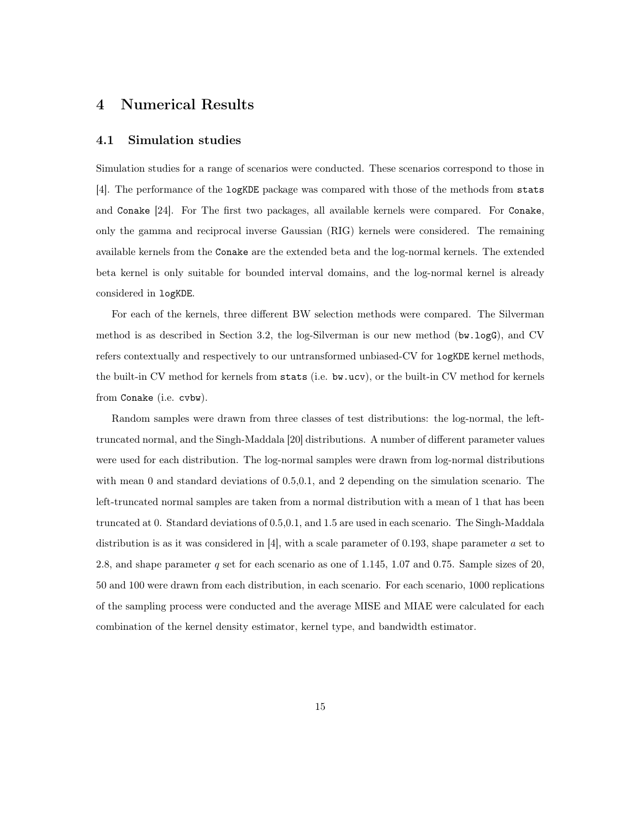# 4 Numerical Results

## 4.1 Simulation studies

Simulation studies for a range of scenarios were conducted. These scenarios correspond to those in [4]. The performance of the logKDE package was compared with those of the methods from stats and Conake [24]. For The first two packages, all available kernels were compared. For Conake, only the gamma and reciprocal inverse Gaussian (RIG) kernels were considered. The remaining available kernels from the Conake are the extended beta and the log-normal kernels. The extended beta kernel is only suitable for bounded interval domains, and the log-normal kernel is already considered in logKDE.

For each of the kernels, three different BW selection methods were compared. The Silverman method is as described in Section 3.2, the log-Silverman is our new method (bw.logG), and CV refers contextually and respectively to our untransformed unbiased-CV for logKDE kernel methods, the built-in CV method for kernels from stats (i.e. bw.ucv), or the built-in CV method for kernels from Conake (i.e. cvbw).

Random samples were drawn from three classes of test distributions: the log-normal, the lefttruncated normal, and the Singh-Maddala [20] distributions. A number of different parameter values were used for each distribution. The log-normal samples were drawn from log-normal distributions with mean 0 and standard deviations of 0.5,0.1, and 2 depending on the simulation scenario. The left-truncated normal samples are taken from a normal distribution with a mean of 1 that has been truncated at 0. Standard deviations of 0.5,0.1, and 1.5 are used in each scenario. The Singh-Maddala distribution is as it was considered in [4], with a scale parameter of 0.193, shape parameter a set to 2.8, and shape parameter q set for each scenario as one of  $1.145$ , 1.07 and 0.75. Sample sizes of 20, 50 and 100 were drawn from each distribution, in each scenario. For each scenario, 1000 replications of the sampling process were conducted and the average MISE and MIAE were calculated for each combination of the kernel density estimator, kernel type, and bandwidth estimator.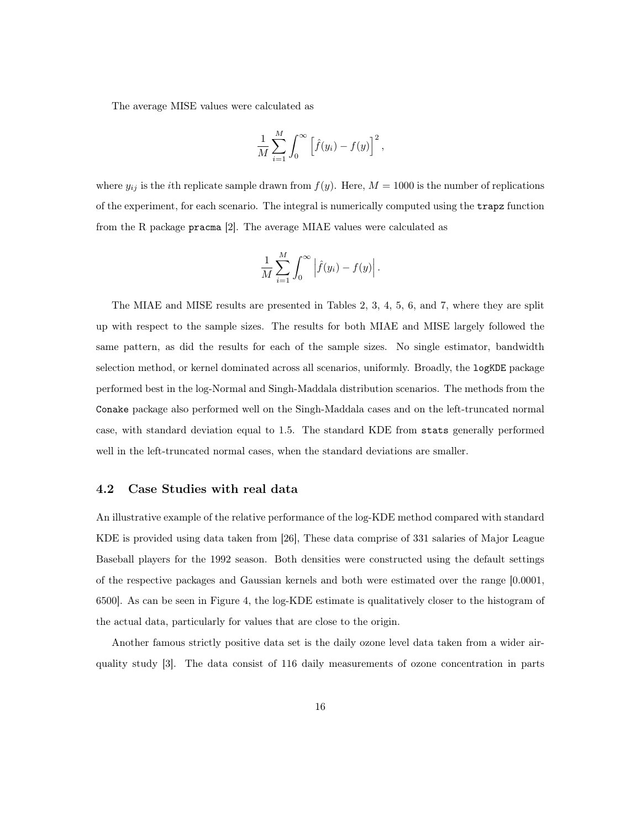The average MISE values were calculated as

$$
\frac{1}{M}\sum_{i=1}^M \int_0^\infty \left[\hat{f}(y_i) - f(y)\right]^2,
$$

where  $y_{ij}$  is the *i*th replicate sample drawn from  $f(y)$ . Here,  $M = 1000$  is the number of replications of the experiment, for each scenario. The integral is numerically computed using the trapz function from the R package pracma [2]. The average MIAE values were calculated as

$$
\frac{1}{M}\sum_{i=1}^M \int_0^\infty \left| \hat{f}(y_i) - f(y) \right|.
$$

The MIAE and MISE results are presented in Tables 2, 3, 4, 5, 6, and 7, where they are split up with respect to the sample sizes. The results for both MIAE and MISE largely followed the same pattern, as did the results for each of the sample sizes. No single estimator, bandwidth selection method, or kernel dominated across all scenarios, uniformly. Broadly, the logKDE package performed best in the log-Normal and Singh-Maddala distribution scenarios. The methods from the Conake package also performed well on the Singh-Maddala cases and on the left-truncated normal case, with standard deviation equal to 1.5. The standard KDE from stats generally performed well in the left-truncated normal cases, when the standard deviations are smaller.

## 4.2 Case Studies with real data

An illustrative example of the relative performance of the log-KDE method compared with standard KDE is provided using data taken from [26], These data comprise of 331 salaries of Major League Baseball players for the 1992 season. Both densities were constructed using the default settings of the respective packages and Gaussian kernels and both were estimated over the range [0.0001, 6500]. As can be seen in Figure 4, the log-KDE estimate is qualitatively closer to the histogram of the actual data, particularly for values that are close to the origin.

Another famous strictly positive data set is the daily ozone level data taken from a wider airquality study [3]. The data consist of 116 daily measurements of ozone concentration in parts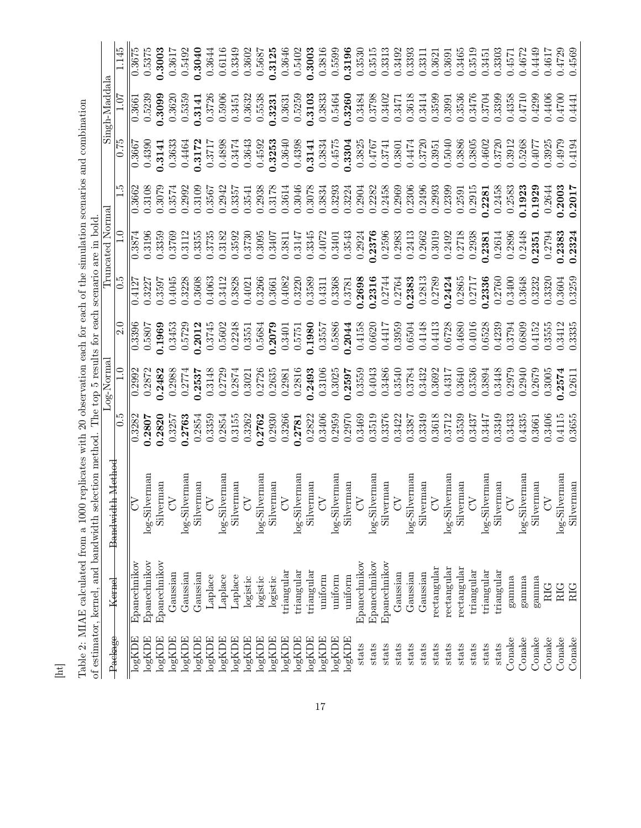|   |                                                                                                                                                                                                                                        |                  | 1.145<br>1.07 | 0.3675             | 0.5375              | 0.3003          | 0.3617          | 0.5492          | 0.3040             | 0.3644                    | 0.6116           | 0.3349          | 0.3602          | 0.5687             | 0.3125              | 0.3646               | 0.5402          | 0.3003              | 0.3816         | 0.5599          | 0.3196             | 0.3530               | 0.3515        | 0.3313       | 0.3492               | 0.3393        | 0.3311    | 0.3621         | 0.3691        | 0.3465      | 0.3519     | 0.3451        | 0.3303     | 0.4571                    | 0.4672                           | 0.4449    | 0.4617     | 0.4729        | 0.4569    |
|---|----------------------------------------------------------------------------------------------------------------------------------------------------------------------------------------------------------------------------------------|------------------|---------------|--------------------|---------------------|-----------------|-----------------|-----------------|--------------------|---------------------------|------------------|-----------------|-----------------|--------------------|---------------------|----------------------|-----------------|---------------------|----------------|-----------------|--------------------|----------------------|---------------|--------------|----------------------|---------------|-----------|----------------|---------------|-------------|------------|---------------|------------|---------------------------|----------------------------------|-----------|------------|---------------|-----------|
|   |                                                                                                                                                                                                                                        | Singh-Maddala    |               | 0.3661             | 0.5239              | 0.3099          | 0.3620          | 0.5359          | 0.3141             | 0.3726                    | 0.5906           | 0.3451          | 0.3632          | 0.5538             | 0.3231              | 0.3631               | 0.5259          | 0.3103              | 0.3833         | 0.5464          | 0.3260             | 0.3484               | 0.3798        | 0.3402       | 0.3471               | 0.3618        | 0.3414    | 0.3599         | 0.3991        | 0.3536      | 0.3476     | 0.3704        | 0.3399     | 0.4358                    | 0.4710                           | 0.4299    | 0.4406     | 0.4700        | 0.4441    |
|   |                                                                                                                                                                                                                                        |                  | 0.75          | 0.3667             | 0.4390              | 0.3141          | 0.3633          | 0.4464          | 0.3172             | 0.3717                    | 0.4898           | 0.3474          | 0.3643          | 0.4592             | 0.3253              | 0.3640               | 0.4398          | 0.3141              | 0.3834         | 0.4575          | 0.3304             | 0.3825               | 1927:0        | 0.3741       | 0.3801               | 0.4474        | 0.3720    | 0.3951         | 0.5040        | 0.3886      | 0.3805     | 0.4602        | 0.3720     | 0.3912                    | 0.5268                           | 0.4077    | 0.3925     | 0.4979        | 0.4194    |
|   |                                                                                                                                                                                                                                        |                  | $\frac{5}{1}$ | 0.3662             | 0.3108              | 0.3079          | 0.3574          | 0.2992          | 0.3109             | 0.3567                    | 0.2942           | 0.3357          | 0.3541          | 0.2938             | 0.3178              | 0.3614               | 0.3046          | 0.3078              | 0.3834         | 0.3293          | 0.3224             | 0.2904               | 0.2282        | 0.2458       | 0.2969               | 0.2306        | 0.2496    | 0.2993         | 0.2399        | 0.2591      | 0.2915     | 0.2281        | 0.2458     | 0.2583                    | 0.1923                           | 0.1929    | 0.2644     | 0.2003        | 0.2017    |
|   |                                                                                                                                                                                                                                        | Truncated Normal | $\frac{1}{1}$ | 0.3874             | 0.3196              | 0.3359          | 0.3769          | 0.3112          | 0.3355             | 0.3735                    | 0.3182           | 0.3592          | 0.3730          | 0.3095             | 0.3407              | 0.3811               | 0.3147          | 0.3345              | 0.4072         | 0.3401          | 0.3543             | 0.2924               | 0.2376        | 0.2596       | 0.2983               | 0.2413        | 0.2662    | 0.3019         | 0.2492        | 0.2718      | 0.2938     | 0.2381        | 0.2614     | 0.2896                    | 0.2448                           | 0.2351    | 0.2794     | 0.2383        | 0.2324    |
|   |                                                                                                                                                                                                                                        |                  | $\frac{5}{0}$ | 0.4127             | 0.3227              | 0.3597          | 0.4045          | 0.3228          | 0.3608             | 0.4063                    | 0.3412           | 0.3828          | 0.4021          | 0.3266             | 0.3661              | 0.4082               | 0.3220          | 0.3589              | 0.4311         | 0.3368          | 0.3781             | 0.2698               | 0.2316        | 0.2744       | 0.2764               | 0.2383        | 0.2813    | 0.2789         | 0.2424        | 0.2865      | 0.2717     | 0.2336        | 0.2760     | 0.3400                    | 0.3648                           | 0.3232    | 0.3320     | 0.3604        | 0.3259    |
|   |                                                                                                                                                                                                                                        |                  | 2.0           | 0.3396             | 0.5807              | 0.1969          | 0.3453          | 0.5729          | 0.2012             | 0.3745                    | 0.5602           | 0.2248          | 0.3551          | 0.5684             | 0.2079              | 0.3401               | 0.5751          | 0.1980              | 0.3557         | 0.5886          | 0.2044             | 0.4158               | 0.6620        | 0.4417       | 0.3959               | 0.6504        | 0.4148    | 0.4413         | 0.6728        | 0.4680      | 0.4016     | 0.6528        | 0.4239     | 0.3794                    | 0.6809                           | 0.4152    | 0.3555     | 0.3412        | 0.3335    |
|   |                                                                                                                                                                                                                                        | Log-Normal       | $\frac{1}{2}$ | 0.2992             | 0.2872              | 0.2482          | 0.2988          | 0.2774          | 0.2537             | 0.3148                    | 0.2729           | 0.2874          | 0.3021          | 0.2726             | 0.2635              | 0.2981               | 0.2816          | 0.2493              | 0.3106         | 0.3025          | 0.2597             | 0.3559               | 0.4043        | 0.3486       | 0.3540               | 0.3784        | 0.3432    | 0.3692         | 0.4317        | 0.3640      | 0.3536     | 0.3894        | 0.3448     | 0.2979                    | 0.2940                           | 0.2679    | 0.3005     | 0.2574        | 0.2611    |
|   |                                                                                                                                                                                                                                        |                  | 0.5           | 0.3282             | 0.2807              | 0.2820          | 0.3257          | 0.2763          | 0.2854             | 0.3359                    | 0.2854           | 0.3155          | 0.3262          | 0.2762             | 0.2930              | 0.3266               | 0.2781          | 0.2822              | 0.3406         | 0.2959          | 0.2970             | 0.3469               | 0.3519        | 0.3376       | 0.3422               | 0.3387        | 0.3349    | 0.3618         | 0.3712        | 0.3539      | 0.3437     | 0.3447        | 0.3349     | 0.3433                    | 0.4335                           | 0.3661    | 0.3406     | 0.4115        | 0.3655    |
|   | Table 2: MIAE calculated from a 1000 replicates with 20 observation each for each of the simulation scenarios and combination<br>of estimator, kernel, and bandwidth selection method. The top 5 results for each scenario are in bold | Bandwidth Method |               | <b>PS</b>          | log-Silverman       | Silverman       | <b>S</b>        | log-Silverman   | Silverman          | $\widetilde{\mathcal{L}}$ | log-Silverman    | Silvernan       | $\mathcal{L}$   | log-Silverman      | Silverman           | $\widetilde{\delta}$ | log-Silverman   | Silverman           | $\overline{C}$ | log-Silverman   | Silverman          | $\widetilde{\delta}$ | log-Silverman | Silverman    | $\widetilde{\delta}$ | log-Silverman | Silverman | $\overline{5}$ | log-Silverman | Silverman   | <b>S</b>   | log-Silverman | Silverman  | $\widetilde{\mathcal{L}}$ | $\log\text{-}\mathrm{Silverman}$ | Silverman | <b>S</b>   | log-Silverman | Silverman |
|   |                                                                                                                                                                                                                                        | Kernel           |               | Epanechnikov       | Epanechnikov        | Epanechnikov    | Gaussian        | Gaussian        | Gaussian           | Laplace                   | Laplace          | Laplace         | logistic        | logistic           | logistic            | triangular           | triangular      | $\text{triangular}$ | uniform        | uniform         | uniform            | Epanechnikov         | Epanechnikov  | Epanechnikov | Gaussian             | Gaussian      | Gaussian  | rectangular    | rectangular   | rectangular | triangular | triangular    | triangular | gamma                     | gamma                            | gamma     | <b>RIG</b> | <b>RIG</b>    | RIG       |
| 互 |                                                                                                                                                                                                                                        | Package          |               | $\log{\text{KDE}}$ | $\log \mathrm{KDE}$ | $\log{\rm KDE}$ | $\log{\rm KDE}$ | $\log{\rm KDE}$ | $log \mathrm{KDE}$ | $\log{\rm KDE}$           | $log \text{KDE}$ | $\log{\rm KDE}$ | $\log{\rm KDE}$ | $log \mathrm{KDE}$ | $\log \mathrm{KDE}$ | logKDE               | $\log{\rm KDE}$ | $log \mathrm{KDE}$  | logKDE         | $\log{\rm KDE}$ | $log \mathrm{KDE}$ | stats                | stats         | stats        | stats                | stats         | stats     | stats          | stats         | stats       | stats      | stats         | stats      | Conake                    | Conake                           | Conake    | Conake     | Conake        | Conake    |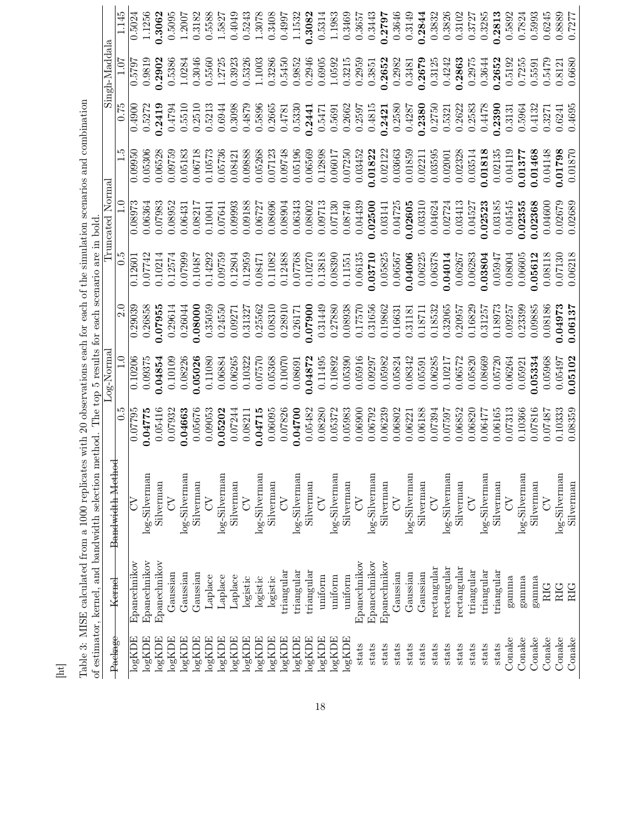| Bandwidth Method<br>of estimator, kernel, and bandwidth selection<br>S<br>Epanechnikov<br>Kernel | method                       |                            | 0.5<br>0.07795     | Log-Norma<br>0.10206 | $\overline{2.0}$<br>0.29039 | The top 5 results for each scenario are in bold<br>5.0<br>0.1260 | Truncated Norma<br>0.08973 | ŗ.<br>0.09950      | 0.75<br>0.4900   | Singh-Maddala<br>0.5797 | 1.145<br>0.5024  |
|--------------------------------------------------------------------------------------------------|------------------------------|----------------------------|--------------------|----------------------|-----------------------------|------------------------------------------------------------------|----------------------------|--------------------|------------------|-------------------------|------------------|
| $\log{\rm KDE}$<br>log KDE                                                                       | Epanechnikov<br>Epanechnikov | log-Silverman<br>Silverman | 0.05416<br>0.04775 | 0.09375<br>0.04854   | 0.26858<br>0.07955          | 0.07742<br>0.10214                                               | 0.07983<br>0.06364         | 0.06528<br>0.05306 | 0.5272<br>0.2419 | 0.9819<br>0.2902        | 1.1256<br>0.3062 |
| $\log{\rm KDE}$                                                                                  | Gaussian                     | $\delta$                   | 0.07932            | 0.10109              | 0.29614                     | 0.12574                                                          | 0.08952                    | 0.09759            | 0.4794           | 0.5386                  | 0.5095           |
| $\log{\rm KDE}$                                                                                  | Gaussian                     | log-Silverman              | 0.04663            | 0.08226              | 0.26044                     | 0.07999                                                          | 0.06431                    | 0.05183            | 0.5510           | 1.0284                  | 1.2007           |
| $log \mathrm{KDE}$                                                                               | Gaussian                     | Silverman                  | 0.05676            | 0.05026              | 0.08000                     | 0.10487                                                          | 0.08217                    | 0.06718            | 0.2510           | 0.3046                  | 0.3182           |
| $log \text{KDE}$                                                                                 | Laplace                      | $\zeta$                    | 0.09053            | 0.11080              | 0.35059                     | 0.14292                                                          | 0.10041                    | 0.10573            | 0.5213           | 0.5560                  | 0.5588           |
| $log \mathrm{KDE}$                                                                               | Laplace                      | log-Silverman              | 0.05202            | 0.06884              | 0.24550                     | 0.09759                                                          | 0.07641                    | 0.05736            | 0.6944           | 1.2725                  | 1.5827           |
| $\log{\rm KDE}$                                                                                  | Laplace                      | Silverman                  | 0.07244            | 0.06265              | 0.09271                     | 0.12804                                                          | 0.09993                    | 0.08421            | 0.3098           | 0.3923                  | 0.4049           |
| $\log{\rm KDE}$                                                                                  | logistic                     | $\lesssim$                 | 0.08211            | 0.10322              | 0.31327                     | 0.12959                                                          | 0.09188                    | 0.09888            | 0.4879           | 0.5326                  | 0.5243           |
| $log \text{KDE}$                                                                                 | logistic                     | log-Silverman              | 0.04715            | 0.07570              | 0.25562                     | 0.08471                                                          | 0.06727                    | 0.05268            | 0.5896           | 1.1003                  | 1.3078           |
| $\log{\rm KDE}$                                                                                  | logistic                     | Silverman                  | 0.06095            | 0.05368              | 0.08310                     | 0.11082                                                          | 0.08696                    | 0.07123            | 0.2665           | 0.3286                  | 0.3408           |
| $\log \mathrm{KDE}$                                                                              | triangular                   | $\mathcal{L}$              | 0.07826            | 0.10070              | 0.28910                     | 0.12488                                                          | 0.08804                    | 0.09748            | 0.4781           | 0.5450                  | 0.4997           |
| $\log \mathrm{KDE}$                                                                              | $\operatorname{triangular}$  | log-Silverman              | 0.04700            | 0.08691              | 0.26171                     | 0.07768                                                          | 0.06343                    | 0.05196            | 0.5330           | 0.9852                  | 1.1532           |
| $\log{\rm KDE}$                                                                                  | $\text{triangular}$          | Silverman                  | 0.05482            | 0.04872              | 0.07900                     | 0.10270                                                          | 0.08002                    | 0.06569            | 0.2441           | 0.2946                  | 0.3082           |
| $log \mathrm{KDE}$                                                                               | uniform                      | $\mathcal{L}$              | 0.08280            | 0.11495              | 0.31449                     | 0.13818                                                          | 0.09713                    | 0.12898            | 0.5471           | 0.6905                  | 0.5314           |
| $log \text{KDE}$                                                                                 | uniform                      | log-Silverman              | 0.05372            | 0.10892              | 0.27880                     | 0.08390                                                          | 0.07130                    | 0.06017            | 0.5691           | 1.0592                  | 1.1983           |
| $\log \mathrm{KDE}$                                                                              | uniform                      | Silverman                  | 0.05983            | 0.05390              | 0.08938                     | 0.11551                                                          | 0.08740                    | 0.07250            | 0.2662           | 0.3215                  | 0.3469           |
| stats                                                                                            | Epanechnikov                 | $\lesssim$                 | 0.06900            | 0.05916              | 0.17570                     | 0.06135                                                          | 0.04439                    | 0.03452            | 0.2597           | 0.2959                  | 0.3657           |
| stats                                                                                            | Epanechnikov                 | log-Silverman              | 0.06792            | 0.09297              | 0.31656                     | 0.03710                                                          | 0.02500                    | 0.01822            | 0.4815           | 0.3851                  | 0.3443           |
| stats                                                                                            | Epanechnikov                 | Silverman                  | 0.06239            | 0.05982              | 0.19862                     | 0.05825                                                          | 0.03141                    | 0.02122            | 0.2421           | 0.2652                  | 0.2797           |
| stats                                                                                            | Gaussian                     | $\delta$                   | 0.06802            | 0.05824              | 0.16631                     | 0.06567                                                          | 0.04725                    | 0.03663            | 0.2580           | 0.2982                  | 0.3646           |
| stats                                                                                            | Gaussian                     | log-Silverman              | 0.06221            | 0.08342              | 0.31181                     | 0.04006                                                          | 0.02605                    | 0.01859            | 0.4287           | 0.3481                  | 0.3149           |
| stats                                                                                            | Gaussian                     | Silverman                  | 0.06188            | 0.05591              | 0.18711                     | 0.06225                                                          | 0.03310                    | 0.02211            | 0.2380           | 0.2679                  | 0.2844           |
| stats                                                                                            | rectangular                  | $\zeta$                    | 0.07394            | 0.06285              | 0.18532                     | 0.06378                                                          | 0.04624                    | 0.03595            | 0.2750           | 0.3125                  | 0.3832           |
| stats                                                                                            | rectangular                  | log-Silverman              | 0.07597            | 0.10217              | 0.32065                     | 0.04014                                                          | 0.02724                    | 0.02001            | 0.5321           | 0.4242                  | 0.3826           |
| stats                                                                                            | rectangular                  | Silverman                  | 0.06852            | 0.06572              | 0.20957                     | 0.06267                                                          | 0.03413                    | 0.02328            | 0.2622           | 0.2863                  | 0.3102           |
| stats                                                                                            | $\operatorname{triangular}$  | $\zeta$                    | 0.06820            | 0.05820              | 0.16829                     | 0.06283                                                          | 0.04527                    | 0.03514            | 0.2583           | 0.2975                  | 0.3727           |
| stats                                                                                            | triangular                   | log-Silverman              | 0.06477            | 0.08669              | 0.31257                     | 0.03804                                                          | 0.02523                    | 0.01818            | 0.4478           | 0.3644                  | 0.3285           |
| stats                                                                                            | triangular                   | Silverman                  | 0.06165            | 0.05720              | 0.18973                     | 0.05947                                                          | 0.03185                    | 0.02135            | 0.2390           | 0.2652                  | 0.2813           |
| Conake                                                                                           | gamma                        | $\widetilde{\mathcal{E}}$  | 0.07313            | 0.06264              | 0.09257                     | 0.08004                                                          | 0.04545                    | 0.04119            | 0.3131           | 0.5192                  | 0.5892           |
| Conake                                                                                           | gamma                        | log-Silverman              | 0.10366            | 0.05921              | 0.23399                     | 0.06605                                                          | 0.02355                    | 0.01377            | 0.5964           | 0.7255                  | 0.7824           |
| Conake                                                                                           | gamma                        | Silverman                  | 0.07816            | 05334                | 0.09885                     | 0.5612                                                           | 0.02368                    | 0.01468            | 0.4132           | 0.5591                  | 0.5993           |
| Conake                                                                                           | RIG                          | $\sum$                     | 0.07487            | 0.05968              | 0.08186                     | 0.08118                                                          | 0.04600                    | 0.04148            | 0.3271           | 0.5479                  | 0.6245           |
| Conake                                                                                           | RIG                          | log-Silverman              | 0.10333            | 0.05497              | 0.04973                     | 0.07130                                                          | 0.02679                    | 0.01798            | 0.6241           | 0.8121                  | 0.8889           |
| Conake                                                                                           | RIG                          | Silverman                  | 0.08359            | 0.05102              | 0.06137                     | 0.06218                                                          | 0.02689                    | 0.01870            | 0.4695           | 0.6680                  | 0.7277           |

Table 3: MISE calculated from a 1000 replicates with 20 observations each for each of the simulation scenarios and combination Table 3: MISE calculated from a 1000 replicates with 20 observations each for each of the simulation scenarios and combination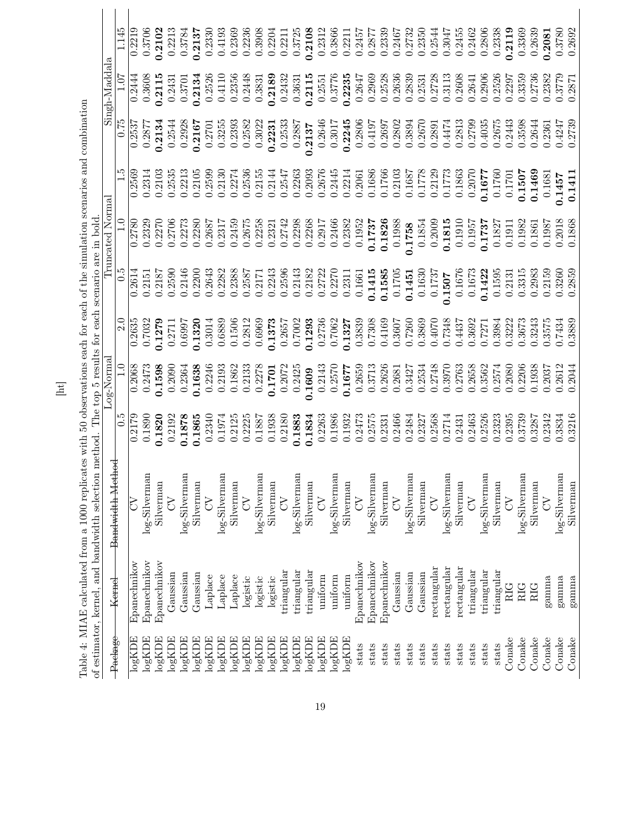| of estimator, kernel, and bandwidth selection |                             |                             | method. The top 5 results for each scenario are in bold. |             |                  |        |                 |               |        |               |        |
|-----------------------------------------------|-----------------------------|-----------------------------|----------------------------------------------------------|-------------|------------------|--------|-----------------|---------------|--------|---------------|--------|
| Package                                       | Kernel                      | Bandwidth Method            |                                                          | $Log-Norma$ |                  |        | Truncated Norma |               |        | Singh-Maddala |        |
|                                               |                             |                             | 0.5                                                      | $\Xi$       | $\overline{2.0}$ | 0.5    | $\frac{1}{1}$   | $\frac{5}{1}$ | 0.75   | 1.07          | 1.145  |
| $\log{\rm KDE}$                               | Epanechnikov                | $\overline{\text{C}}$       | 0.2179                                                   | 0.2068      | 0.2635           | 0.2614 | 0.2780          | 0.2569        | 0.2537 | 0.2444        | 0.2219 |
| logKDE                                        | Epanechnikov                | log-Silverman               | 0.1890                                                   | 0.2473      | 0.7032           | 0.2151 | 0.2329          | 0.2314        | 0.2877 | 0.3608        | 0.3706 |
| log KDE                                       | Epanechnikov                | Silverman                   | 0.1820                                                   | 0.1598      | 0.1279           | 0.2187 | 0.2270          | 0.2103        | 0.2134 | 0.2115        | 0.2102 |
| $\log{\rm KDE}$                               | Gaussian                    | $\zeta$                     | 0.2192                                                   | 0.2090      | 0.2711           | 0.2590 | 0.2706          | 0.2535        | 0.2544 | 0.2431        | 0.2213 |
| $\log{\rm KDE}$                               | Gaussian                    | log-Silverman               | 0.1878                                                   | 0.2364      | <b>L6690</b>     | 0.2146 | 0.2273          | 0.2213        | 0.2928 | 0.3701        | 0.3784 |
| $\log \mathrm{KDE}$                           | $\rm Gaussian$              | Silverman                   | 0.1865                                                   | 0.1638      | 0.1320           | 0.2200 | 0.2280          | 0.2105        | 0.2167 | 0.2134        | 0.2137 |
| $log \text{KDE}$                              | Laplace                     | $\delta$                    | 0.2340                                                   | 0.2246      | 0.3014           | 0.2643 | 0.2687          | 0.2599        | 0.2701 | 0.2526        | 0.2330 |
| $\log{\rm KDE}$                               | Laplace                     | log-Silverman               | 0.1974                                                   | 0.2193      | 0.6889           | 0.2282 | 0.2317          | 0.2130        | 0.3255 | 0.4110        | 0.4193 |
| $log \mathrm{KDE}$                            | Laplace                     | Silverman                   | 0.2125                                                   | 0.1862      | 0.1506           | 0.2388 | 0.2459          | 0.2274        | 0.2393 | 0.2356        | 0.2369 |
| $\log_{\rm KDE}$                              | logistic                    | $\mathcal{L}_{\mathcal{O}}$ | 0.2225                                                   | 0.2133      | 0.2812           | 0.2587 | 0.2675          | 0.2536        | 0.2582 | 0.2448        | 0.2236 |
| $log \mathrm{KDE}$                            | $logistic$                  | log-Silverman               | 0.1887                                                   | 0.2278      | 0.6969           | 0.2171 | 0.2258          | 0.2155        | 0.3022 | 0.3831        | 0.3908 |
| log KDE                                       | logistic                    | Silverman                   | 0.1938                                                   | 0.1701      | 0.1373           | 0.2243 | 0.2321          | 0.2144        | 0.2231 | 0.2189        | 0.2204 |
| $log \mathrm{KDE}$                            | $\operatorname{triangular}$ | $\mathcal{L}$               | 0.2180                                                   | 0.2072      | 0.2657           | 0.2596 | 0.2742          | 0.2547        | 0.2533 | 0.2432        | 0.2211 |
| $log \text{KDE}$                              | $\operatorname{triangular}$ | log-Silverman               | 0.1883                                                   | 0.2425      | 0.7002           | 0.2143 | 0.2298          | 0.2263        | 0.2887 | 0.3631        | 0.3725 |
| logKDE                                        | triangular                  | Silverman                   | 0.1834                                                   | 0.1609      | 0.1293           | 0.2182 | 0.2268          | 0.2093        | 0.2137 | 0.2115        | 0.2108 |
| logKDE                                        | uniform                     | $\sum$                      | 0.2263                                                   | 0.2143      | 0.2736           | 0.2722 | 0.2917          | 0.2676        | 0.2646 | 0.2551        | 0.2312 |
| $log \text{KDE}$                              | uniform                     | log-Silverman               | 0.1986                                                   | 0.2570      | 0.7062           | 0.2270 | 0.2466          | 0.2445        | 0.3017 | 0.3776        | 0.3866 |
| $log \mathrm{KDE}$                            | uniform                     | Silverman                   | 0.1932                                                   | 0.1677      | 0.1327           | 0.2311 | 0.2382          | 0.2214        | 0.2245 | 0.2235        | 0.2211 |
| stats                                         | Epanechnikov                | $\mathcal{L}$               | 0.2473                                                   | 0.2659      | 0.3839           | 0.1661 | 0.1952          | 0.2061        | 0.2806 | 0.2647        | 0.2457 |
| stats                                         | Epanechnikov                | log-Silverman               | 0.2575                                                   | 0.3713      | 0.7308           | 0.1415 | 0.1737          | 0.1686        | 0.4197 | 0.2969        | 0.2877 |
| stats                                         | Epanechnikov                | Silverman                   | 0.2331                                                   | 0.2626      | 0.4169           | 0.1585 | 0.1826          | 0.1766        | 0.2697 | 0.2528        | 0.2339 |
| stats                                         | Gaussian                    | $\zeta$                     | 0.2466                                                   | 0.2681      | 0.3607           | 0.1705 | 0.1988          | 0.2103        | 0.2802 | 0.2636        | 0.2467 |
| stats                                         | Gaussian                    | log-Silverman               | 0.2484                                                   | 0.3427      | 0.7260           | 0.1451 | 0.1758          | 0.1687        | 0.3894 | 0.2839        | 0.2732 |
| stats                                         | Gaussian                    | Silverman                   | 0.2327                                                   | 0.2534      | 0.3869           | 0.1630 | 0.1854          | 0.1778        | 0.2670 | 0.2531        | 0.2350 |
| stats                                         | rectangular                 | 5                           | 0.2568                                                   | 0.2748      | 0.4070           | 0.1737 | 0.2009          | 0.2129        | 0.2891 | 0.2728        | 0.2544 |
| stats                                         | rectangular                 | log-Silverman               | 0.2714                                                   | 0.3970      | 0.7348           | 0.1507 | 0.1815          | 0.1773        | 0.4474 | 0.3113        | 0.3047 |
| stats                                         | rectangular                 | Silverman                   | 0.2431                                                   | 0.2763      | 0.4437           | 0.1676 | 0.1910          | 0.1863        | 0.2813 | 0.2608        | 0.2455 |
| stats                                         | triangular                  | $\zeta$                     | 0.2463                                                   | 0.2658      | 0.3692           | 0.1673 | 0.1957          | 0.2070        | 0.2799 | 0.2641        | 0.2462 |
| stats                                         | $\operatorname{triangular}$ | log-Silverman               | 0.2526                                                   | 0.3562      | 0.7271           | 0.1422 | 0.1737          | 0.1677        | 0.4035 | 0.2906        | 0.2806 |
| stats                                         | $\operatorname{triangular}$ | Silverman                   | 0.2323                                                   | 0.2574      | 0.3984           | 0.1595 | 0.1827          | 0.1760        | 0.2675 | 0.2526        | 0.2338 |
| Conake                                        | RIG                         | <b>S</b>                    | 0.2395                                                   | 0.2080      | 0.3222           | 0.2131 | 0.1911          | 0.1701        | 0.2443 | 0.2297        | 0.2119 |
| Conake                                        | <b>RIG</b>                  | log-Silverman               | 0.3739                                                   | 0.2206      | 0.3673           | 0.3315 | 0.1982          | 0.1507        | 0.3598 | 0.3359        | 0.3369 |
| Conake                                        | RIG                         | Silverman                   | 0.3287                                                   | 0.1938      | 0.3243           | 0.2983 | 0.1861          | 0.1469        | 0.2644 | 0.2736        | 0.2639 |
| Conake                                        | $gamma$                     | $\mathcal{L}$               | 0.2342                                                   | 0.2037      | 0.3575           | 0.2159 | 0.1987          | 0.1681        | 0.2361 | 0.2382        | 0.2081 |
| Conake                                        | gamma                       | log-Silverman               | 0.3834                                                   | 0.2612      | 0.7434           | 0.3260 | 0.2018          | 1457          | 0.4247 | 0.3779        | 0.3780 |
| Consider                                      | gamma                       | Silverman                   | 0.3216                                                   | 0.2044      | 0.3889           | 0.2859 | 0.1868          | 0.1411        | 0.2739 | 0.2871        | 0.2692 |

 $\Xi$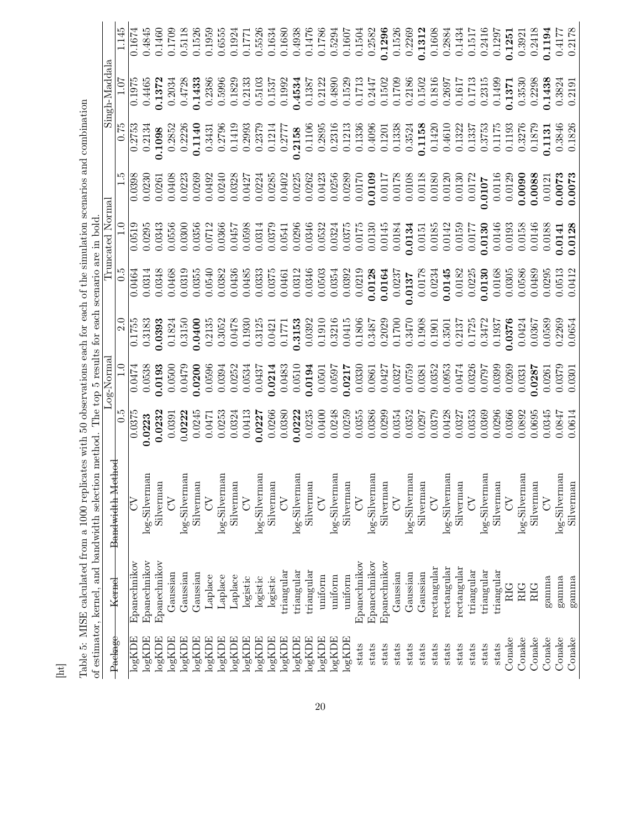|                                                                                                                                                                                                                                          | 1.145            | 0.1674                  | 0.4845             | 0.1460          | 0.1709             | 0.5118          | 0.1526              | 0.1959          | 0.6555           | 0.1924          | 0.1771           | 0.5526          | 0.1634              | 0.1680                   | 0.4938          | 0.1476          | 0.1786           | 0.5294           | 0.1607    | 0.1504       | 0.2582        | 0.1296       | 0.1526        | 0.2269        | 0.1312    | 0.1608      | 0.2884        | 0.1434      | 0.1517        | 0.2416        | 0.1297     | 0.1251     | 0.3921        | 0.2418     | 0.1194        | 0.4177        | 0.2178    |
|------------------------------------------------------------------------------------------------------------------------------------------------------------------------------------------------------------------------------------------|------------------|-------------------------|--------------------|-----------------|--------------------|-----------------|---------------------|-----------------|------------------|-----------------|------------------|-----------------|---------------------|--------------------------|-----------------|-----------------|------------------|------------------|-----------|--------------|---------------|--------------|---------------|---------------|-----------|-------------|---------------|-------------|---------------|---------------|------------|------------|---------------|------------|---------------|---------------|-----------|
| Singh-Maddal                                                                                                                                                                                                                             | 1.07             | 0.1975                  | 0.4465             | 0.1372          | 0.2034             | 0.4728          | 0.1433              | 0.2386          | 0.5996           | 0.1829          | 0.2133           | 0.5103          | 0.1537              | 0.1992                   | 0.4534          | 0.1387          | 0.2122           | 0.4890           | 0.1529    | 0.1713       | 0.2447        | 0.1502       | 0.1709        | 0.2186        | 0.1502    | 0.1816      | 0.2697        | 0.1617      | 0.1713        | 0.2315        | 0.1499     | 0.1371     | 0.3530        | 0.2298     | 0.1438        | 0.3824        | 0.2191    |
|                                                                                                                                                                                                                                          | $\sqrt{0.75}$    | 0.2753                  | 0.2134             | 0.1098          | 0.2852             | 0.2226          | 0.1140              | 0.3431          | 0.2796           | 0.1419          | 0.2993           | 0.2379          | 0.1214              | 0.2777                   | 0.2158          | 0.1106          | 0.2895           | 0.2316           | 0.1213    | 0.1336       | 0.4096        | 0.1201       | 0.1338        | 0.3524        | 0.1158    | 0.1420      | 0.4610        | 0.1322      | 0.1337        | 0.3753        | 0.1175     | 0.1193     | 0.3276        | 0.1879     | 0.1131        |               | 0.1826    |
|                                                                                                                                                                                                                                          | īن               | 0.0398                  | 0.0230             | 0.0261          | 0.0408             | 0.0223          | 0.0269              | 0.0492          | 0.0240           | 0.0328          | 0.0427           | 0.0224          | 0.0285              | 0.0402                   | 0.0225          | 0.0262          | 0.0423           | 0.0256           | 0.0289    | 0.0170       | 0.0109        | 0.0117       | 0.0178        | 0.0108        | 0.0118    | 0.0180      | 0.0120        | 0.0130      | 0.0172        | 1.0107        | 0.0116     | 0.0129     | 0.0090        | 0.0088     | 0.0121        | 0.0073        | 0.0073    |
| Truncated Norma                                                                                                                                                                                                                          |                  | 0.0519                  | 0.0295             | 0.0343          | 0.0556             | 0.0300          | 0.0356              | 0.0712          | 0.0366           | 0.0457          | 0.0598           | 0.0314          | 0.0379              | 0.0541                   | 0.0296          | 0.0346          | 0.0532           | 0.0324           | 0.0375    | 0.0175       | 0.0130        | 0.0145       | 0.0184        | 0.0134        | 0.0151    | 0.0185      | 0.0142        | 0.0159      | 0.0177        | 0.0130        | 0.0146     | 0.0193     | 0.0158        | 0.0146     | 0.0188        | 0.0141        | 0.0128    |
|                                                                                                                                                                                                                                          | $\overline{0.5}$ | 0.0464                  | 0.0314             | 0.0348          | 0.0468             | 0.0319          | 0.0355              | 0.0540          | 0.0382           | 0.0436          | 0.0485           | 0.0333          | 0.0375              | 0.0461                   | 0.0312          | 0.0346          | 0.0503           | 0.0354           | 0.0392    | 0.0219       | 0.0128        | 0.0164       | 0.0237        | 0.0137        | 0.0178    | 0.0234      | 0.0145        | 0.0182      | 0.0225        | 0.0130        | 0.0168     | 0.0305     | 0.0586        | 0.0489     | 0.0295        | 0.0513        | 0.0412    |
|                                                                                                                                                                                                                                          | $\overline{2.0}$ | $\frac{0.1755}{0.1755}$ | 0.3183             | 0.0393          | 0.1824             | 0.3150          | 0.0400              | 0.2135          | 0.3052           | 0.0478          | 0.1930           | 0.3125          | 0.0421              | 0.1771                   | 0.3153          | 0.0392          | 0.1910           | 0.3216           | 0.0415    | 0.1806       | 0.3487        | 0.2029       | 0.1700        | 0.3470        | 0.1908    | 0.1901      | 0.3501        | 0.2137      | 0.1725        | 0.3472        | 0.1937     | 0376       | 0.0424        | 0.0367     | 0.0589        | 0.2269        | 0.0654    |
| Log-Norma                                                                                                                                                                                                                                |                  | 0.0474                  | 0.0538             | 0.0193          | 0.0500             | 0.0479          | 0.0200              | 0.0596          | 0.0394           | 0.0252          | 0.0534           | 0.0437          | 0.0214              | 0.0483                   | 0.0510          | 0.0194          | 0.0501           | 0.0597           | 0.0217    | 0.0330       | 0.0861        | 0.0427       | 0.0327        | 0.0759        | 0.0381    | 0.0352      | 0.0953        | 0.0474      | 0.0326        | 0.0797        | 0.0399     | 0.0269     | 0.0331        | 1.0287     | 0.0261        | 0.0379        | 0.0301    |
|                                                                                                                                                                                                                                          | $\overline{0.5}$ | 0.0375                  | 0.0223             | 0.0232          | 0.0391             | 0.0222          | 0.0245              | 0.0471          | 0.0253           | 0.0324          | 0.0413           | 0.0227          | 0.0266              | 0.0380                   | 0.0222          | 0.0235          | 0.0400           | 0.0248           | 0.0259    | 0.0355       | 0.0386        | 0.0299       | 0.0354        | 0.0352        | 0.0297    | 0.0379      | 0.0428        | 0.0327      | 0.0353        | 0.0369        | 0.0296     | 0.0366     | 0.0892        | 0.0695     | 0.0345        | 0.0847        | 0.0614    |
| Table 5: MISE calculated from a 1000 replicates with 50 observations each for each of the simulation scenarios and combination<br>of estimator, kernel, and bandwidth selection method. The top 5 results for each scenario are in bold. | Bandwidth Method | $\lesssim$              | log-Silverman      | Silverma        | $\lesssim$         | log-Silvermar   | Silverman           | $\widetilde{C}$ | log-Silvermar    | Silverman       | $\lesssim$       | log-Silverman   | Silverman           | $\overline{\mathcal{E}}$ | log-Silverman   | Silverman       | $\sum$           | log-Silverman    | Silverman | $\lesssim$   | log-Silverman | Silverman    | $\mathcal{L}$ | log-Silvermar | Silverman | $\zeta$     | log-Silverman | Silverman   | $\mathcal{L}$ | log-Silverman | Silverman  | $\zeta$    | log-Silverman | Silverman  | $\mathcal{L}$ | log-Silverman | Silverman |
|                                                                                                                                                                                                                                          | Kernel           | Epanechnikov            | Epanechnikov       | Epanechnikov    | Gaussian           | Gaussian        | Gaussian            | Laplace         | Laplace          | Laplace         | logistic         | logistic        | logistic            | triangular               | triangular      | triangular      | uniform          | uniform          | uniform   | Epanechnikov | Epanechnikov  | Epanechnikov | Gaussian      | Gaussian      | Gaussian  | rectangular | rectangular   | rectangular | triangular    | triangular    | triangular | <b>RIG</b> | <b>RIG</b>    | <b>RIG</b> | gamma         | gamma         | gamma     |
|                                                                                                                                                                                                                                          | Package          | log KDE                 | $log \mathrm{KDE}$ | $\log{\rm KDE}$ | $\log{\text{KDE}}$ | $\log{\rm KDE}$ | $\log \mathrm{KDE}$ | $\log{\rm KDE}$ | $log \text{KDE}$ | $\log{\rm KDE}$ | $\log_{\rm KDE}$ | $\log{\rm KDE}$ | $\log \mathrm{KDE}$ | $log \text{KDE}$         | $\log{\rm KDE}$ | $\log{\rm KDE}$ | $\log_{\rm KDE}$ | $log \text{KDE}$ | logKDE    | stats        | stats         | stats        | stats         | stats         | stats     | stats       | stats         | stats       | stats         | stats         | stats      | Conake     | Conake        | Conake     | Conake        | Conake        | Conake    |

[ht]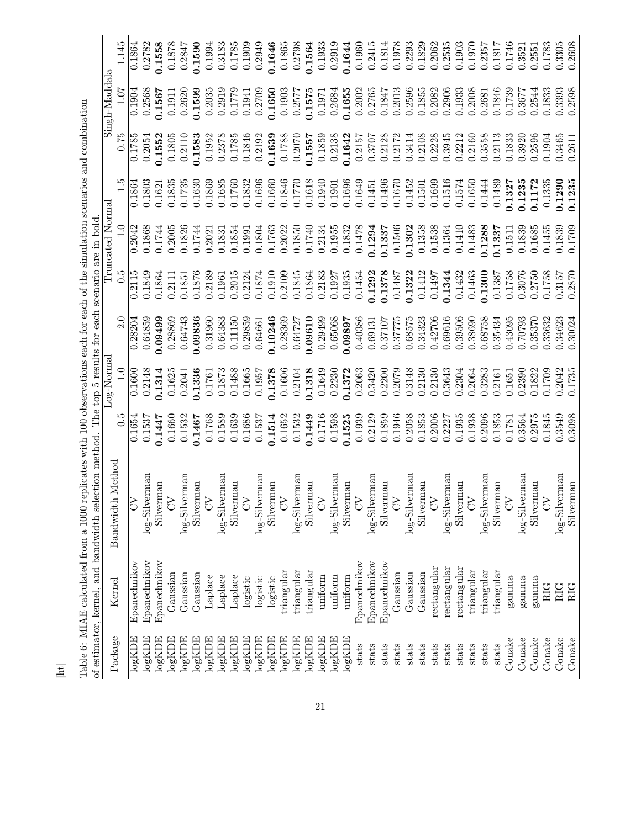| The top 5 results for each<br>-og-Norma<br>0.5<br>of estimator, kernel, and bandwidth selection method<br>Bandwidth Method<br>⊳<br>Kernel |  |                  |                  | $\overline{2.0}$   |                  | Truncated Normal<br>scenario are in bold |                  |                  | Singh-Maddal<br>50.<br>L |                  |
|-------------------------------------------------------------------------------------------------------------------------------------------|--|------------------|------------------|--------------------|------------------|------------------------------------------|------------------|------------------|--------------------------|------------------|
| Epanechnikov                                                                                                                              |  | 0.1654           | 0.1600           | 0.28204            | 0.2115           | 0.2042                                   | 0.1864           | 0.1785           | 0.1904                   | 0.1864           |
| log-Silverman<br>Epanechnikov                                                                                                             |  | 0.1537           | 0.2148           | 0.64859            | 0.1849           | 0.1868                                   | 0.1803           | 0.2054           | 0.2568                   | 0.2782           |
| Silverman<br>$\zeta$<br>Epanechnikov                                                                                                      |  | 0.1447           | 0.1314           | 0.09499            | 0.1864           | 0.1744                                   | 0.1621           | 0.1552           | 0.1567                   | 0.1558           |
| log-Silverman<br>Gaussian<br>Gaussian                                                                                                     |  | 0.1532<br>0.1660 | 0.1625<br>0.2041 | 0.28869<br>0.64743 | 0.2111<br>0.1851 | 0.2005<br>0.1826                         | 0.1835<br>0.1735 | 0.1805<br>0.2110 | 0.2620<br>0.1911         | 0.1878<br>0.2847 |
| Silvernan<br>Gaussian                                                                                                                     |  | 0.1467           | 0.1336           | 0.09836            | 0.1876           | 0.1744                                   | 0.1630           | 0.1583           | 0.1599                   | 0.1590           |
| $\zeta$<br>Laplace                                                                                                                        |  | 0.1768           | 0.1761           | 0.31960            | 0.2189           | 0.2021                                   | 0.1869           | 0.1952           | 0.2035                   | 0.1994           |
| log-Silvermar<br>Laplace                                                                                                                  |  | 0.1589           | 0.1873           | 0.64383            | 0.1961           | 0.1831                                   | 0.1685           | 0.2378           | 0.2919                   | 0.3183           |
| Silverman<br>Laplace                                                                                                                      |  | 0.1639           | 0.1488           | 0.11150            | 0.2015           | 0.1854                                   | 0.1760           | 0.1785           | 0.1779                   | 0.1785           |
| $\infty$<br>logistic                                                                                                                      |  | 0.1686           | 0.1665           | 0.29859            | 0.2124           | 0.1991                                   | 0.1832           | 0.1846           | 0.1941                   | 0.1909           |
| log-Silverman<br>logistic                                                                                                                 |  | 0.1537           | 0.1957           | 0.64661            | 0.1874           | 0.1804                                   | 0.1696           | 0.2192           | 0.2709                   | 0.2949           |
| Silvernan<br>logistic                                                                                                                     |  | 0.1514           | 0.1378           | 0.10246            | 0.1910           | 0.1763                                   | 0.1660           | 0.1639           | 0.1650                   | 0.1646           |
| $\bigcirc$<br>$\operatorname{triangular}$                                                                                                 |  | 0.1652           | 0.1606           | 0.28369            | 0.2109           | 0.2022                                   | 0.1846           | 0.1788           | 0.1903                   | 0.1865           |
| log-Silverman<br>$\operatorname{triangular}$                                                                                              |  | 0.1532           | 0.2104           | 0.64727            | 0.1845           | 0.1850                                   | 0.1770           | 0.2070           | 0.2577                   | 0.2798           |
| 0.1449<br>$\begin{array}{c} \text{Silverman} \\ \text{CV} \end{array}$<br>triangular                                                      |  |                  | 0.1318           | 0.09610            | 0.1864           | 0.1740                                   | 0.1618           | 0.1557           | 0.1575                   | 0.1564           |
| uniform                                                                                                                                   |  | 0.1716           | 0.1649           | 0.29499            | 0.2183           | 0.2134                                   | 0.1940           | 0.1859           | 0.1971                   | 0.1933           |
| log-Silvermar<br>uniform                                                                                                                  |  | 0.1598           | 0.2230           | 0.65068            | 0.1927           | 0.1955                                   | 0.1901           | 0.2138           | 0.2684                   | 0.2919           |
| 0.1525<br>Silvernan<br>uniform                                                                                                            |  |                  | 0.1372           | 16860.0            | 0.1935           | 0.1832                                   | 0.1696           | 0.1642           | 0.1655                   | 0.1644           |
| $\zeta$<br>Epanechnikov                                                                                                                   |  | 0.1939           | 0.2063           | 0.40386            | 0.1454           | 0.1478                                   | 0.1649           | 0.2157           | 0.2002                   | 0.1960           |
| log-Silvermar<br>Epanechnikov                                                                                                             |  | 0.2129           | 0.3420           | 0.69131            | 0.1292           | 0.1294                                   | 0.1451           | 0.3707           | 0.2765                   | 0.2415           |
| Silverman<br>Epanechnikov                                                                                                                 |  | 0.1859           | 0.2200           | 0.37107            | 0.1378           | 0.1337                                   | 0.1496           | 0.2128           | 0.1847                   | 0.1814           |
| $\zeta$<br>Gaussian                                                                                                                       |  | 0.1946           | 0.2079           | 0.37775            | 0.1487           | 0.1506                                   | 0.1670           | 0.2172           | 0.2013                   | 0.1978           |
| log-Silverman<br>Gaussian                                                                                                                 |  | 0.2058           | 0.3148           | 0.68575            | 0.1322           | 0.1302                                   | 0.1452           | 0.3414           | 0.2596                   | 0.2293           |
| Silverman<br>Gaussian                                                                                                                     |  | 0.1853           | 0.2130           | 0.34323            | 0.1412           | 0.1358                                   | 0.1501           | 0.2108           | 0.1855                   | 0.1829           |
| $\Omega$<br>rectangular                                                                                                                   |  | 0.2006           | .2130            | 0.42706            | 0.1497           | 0.1538                                   | 0.1699           | 0.2228           | 0.2082                   | 0.2062           |
| log-Silverman<br>rectangular                                                                                                              |  | 0.2227           | 0.3643           | 0.69616            | 0.1344           | 0.1364                                   | 0.1516           | 0.3945           | 0.2906                   | 0.2535           |
| Silverman<br>rectangular                                                                                                                  |  | 0.1935           | 0.2304           | 0.39506            | 0.1432           | 0.1410                                   | 0.1574           | 0.2212           | 0.1933                   | 0.1903           |
| $\infty$<br>$\operatorname{triangular}$                                                                                                   |  | 0.1938           | 0.2064           | 0.38690            | 0.1463           | 0.1483                                   | 0.1650           | 0.2160           | 0.2008                   | 0.1970           |
| log-Silverman<br>$\text{triangular}$                                                                                                      |  | 0.2096           | 0.3283           | 0.68758            | 0.1300           | 0.1288                                   | 0.1444           | 0.3558           | 0.2681                   | 0.2357           |
| Silverman<br>triangular                                                                                                                   |  | 0.1853           | 0.2161           | 0.35434            | 0.1387           | 0.1337                                   | 0.1489           | 0.2113           | 0.1846                   | 0.1817           |
| $\zeta$<br>gamma                                                                                                                          |  | 0.1781           | 0.1651           | 0.43095            | 0.1758           | 0.1511                                   | 0.1327           | 0.1833           | 0.1739                   | 0.1746           |
| log-Silvermar<br>gamma                                                                                                                    |  | 0.3564           | 0.2390           | 0.70793            | 0.3076           | 0.1839                                   | 0.1235           | 0.3920           | 0.3677                   | 0.3521           |
| Silverman<br>gamma                                                                                                                        |  | 0.2975           | 0.1822           | 0.35370            | 0.2750           | 0.1685                                   | 0.1172           | 0.2596           | 0.2544                   | 0.2551           |
| $\Omega$<br><b>RIG</b>                                                                                                                    |  | 0.1845           | 0.1709           | 0.33632            | 0.1758           | 0.1455                                   | 0.1335           | 0.1904           | 0.1833                   | 0.1783           |
| log-Silverman<br><b>RIG</b>                                                                                                               |  | 0.3549           | 0.2042           | 0.34623            | 0.3157           | 0.1839                                   | 1.290            | 0.3465           | 0.3393                   | 0.3305           |
| Silvernan<br>RIG                                                                                                                          |  | 0.3098           | 0.1735           | 0.30024            | 0.2870           | 0.1709                                   | 0.1235           | 0.2611           | 0.2598                   | 0.2608           |

Table 6: MIAE calculated from a 1000 replicates with 100 observations each for each of the simulation scenarios and combination Table 6: MIAE calculated from a 1000 replicates with 100 observations each for each of the simulation scenarios and combination

 $[ht]% \centering \subfloat[\centering \label{fig:optimal} \centering \subfloat[\centering \label{fig:optimal} \centering \subfloat[\centering \label{fig:optimal} \centering \subfloat[\centering \label{fig:optimal} \centering \subfloat[\centering \label{fig:optimal} \centering \subfloat[\centering \label{fig:optimal} \centering \subfloat[\centering \label{fig:optimal} \centering \subfloat[\centering \label{fig:optimal} \centering \subfloat[\centering \label{fig:optimal} \centering \subfloat[\centering \label{fig:optimal} \centering \subfloat[\centering \label{fig:optimal} \centering \subfloat[\centering \label{fig:optimal} \centering \subfloat[\centering \label{fig$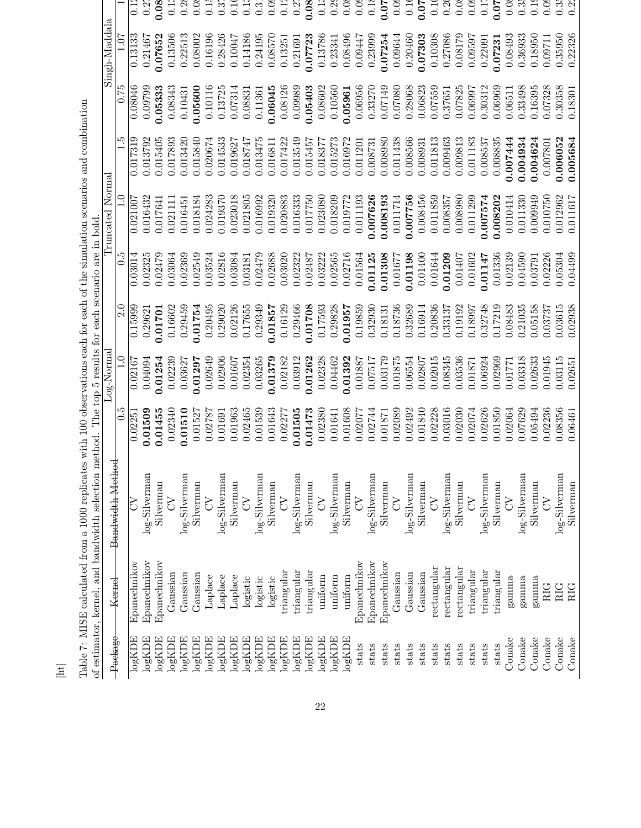|                     |                             | of estimator, kernel, and bandwidth selection method. The top 5 results for each scenario are in bold |         | Log-Norma |         |         | Truncated Norma |               |                 | Singh-Maddala |                   |
|---------------------|-----------------------------|-------------------------------------------------------------------------------------------------------|---------|-----------|---------|---------|-----------------|---------------|-----------------|---------------|-------------------|
| Package             | Kernel                      | Bandwidth Method                                                                                      | c<br>O  |           | 2.0     | 6.G     | $\Xi$           | $\frac{5}{1}$ | $\frac{6}{175}$ | 1.07          |                   |
| $\log{\text{KDE}}$  | Epanechnikov                | $\mathcal{L}$                                                                                         | 0.02251 | 0.02167   | 0.15999 | 0.03014 | 0.021007        | 0.017319      | 0.08046         | 0.13133       | $\overline{0}$ :  |
| $log \text{KDE}$    | Epanechnikov                | log-Silverman                                                                                         | 0.01509 | 0.04094   | 0.29621 | 0.02325 | 0.016432        | 0.013792      | 0.09799         | 0.21467       | 0.2               |
| $\log{\rm KDE}$     | Epanechnikov                | Silverman                                                                                             | 0.01455 | 0.01254   | 0.01701 | 0.02479 | 0.017641        | 0.015405      | 0.05333         | 0.07652       | 0.08              |
| $\log \mathrm{KDE}$ | Gaussian                    | $\mathcal{L}$                                                                                         | 0.02340 | 0.02239   | 0.16602 | 0.03064 | 0.021111        | 0.017893      | 0.08343         | 0.13506       | $\overline{0}$    |
| $log \text{KDE}$    | Gaussian                    | log-Silverman                                                                                         | 0.01510 | 0.03627   | 0.29459 | 0.02369 | 0.01645         | 0.013420      | 0.1043          | 0.22513       |                   |
| log KDE             | Gaussian                    | Silverman                                                                                             | 0.01527 | 0.01297   | 0.01754 | 0.02549 | 0.018184        | 0.015840      | 0.05600         | 0.08002       | $\overline{0.0}$  |
| $\log{\rm KDE}$     | Laplace                     | $\infty$                                                                                              | 0.02787 | 0.02649   | 0.20495 | 0.03524 | 0.024283        | 0.020674      | 0.10116         | 0.16196       | $\overline{0}$ .  |
| $\log{\rm KDE}$     | Laplace                     | log-Silverman                                                                                         | 0.01691 | 0.02906   | 0.29020 | 0.02816 | 0.019370        | 0.014533      | 0.13725         | 0.28426       | 0.3               |
| $\log{\rm KDE}$     | Laplace                     | Silverman                                                                                             | 0.01963 | 0.01607   | 0.02126 | 0.03084 | 0.023018        | 0.019627      | 0.07314         | 0.10047       | $\overline{c}$    |
| $\log{\rm KDE}$     | logistic                    | $\zeta$                                                                                               | 0.02465 | 0.02354   | 0.17655 | 0.03181 | 0.021805        | 0.018747      | 0.08831         | 0.14186       | $\overline{c}$    |
| $\log{\rm KDE}$     | logistic                    | log-Silverman                                                                                         | 0.01539 | 0.03265   | 0.29349 | 0.02479 | 0.016992        | 0.013475      | 0.11361         | 0.24195       | $0.\overline{3}$  |
| $\log{\rm KDE}$     | logistic                    | Silverman                                                                                             | 0.01643 | 0.01379   | 0.01857 | 0.02688 | 0.019320        | 0.016811      | 0.06045         | 0.08570       | $\overline{0}$ :0 |
| $\log{\rm KDE}$     | triangular                  | $\zeta$                                                                                               | 0.02277 | 0.02182   | 0.16129 | 0.03020 | 0.020883        | 0.017422      | 0.08126         | 0.13251       | $\overline{c}$    |
| $\log{\rm KDE}$     | triangular                  | log-Silverman                                                                                         | 0.01505 | 0.03912   | 0.29466 | 0.02322 | 0.016333        | 0.013549      | 0.09989         | 0.21691       | 0.2               |
| log KDE             | triangular                  | Silverman                                                                                             | 0.01473 | 0.01262   | 0.01708 | 0.02487 | 0.017750        | 0.015457      | 0.5403          | 0.07723       | 0.08              |
| $log \mathrm{KDE}$  | uniform                     | $\zeta$                                                                                               | 0.02380 | 0.02328   | 0.17593 | 0.03222 | 0.023080        | 0.018377      | 0.08602         | 0.13786       | 0.1               |
| $log \mathrm{KDE}$  | uniform                     | log-Silverman                                                                                         | 0.01641 | 0.04462   | 0.29828 | 0.02565 | 0.018209        | 0.015273      | 0.10560         | 0.23341       | 0.2               |
| logKDE              | uniform                     | Silverman                                                                                             | 0.01608 | 0.01392   | 0.01957 | 0.02716 | 0.019772        | 0.016972      | 0.05961         | 0.08496       | 0.0               |
| stats               | ${\rm E}$ panechnikov       | $\lesssim$                                                                                            | 0.02077 | 0.01887   | 0.19859 | 0.01564 | 0.011193        | 0.011201      | 0.06956         | 0.09447       | 0.0               |
| stats               | Epanechnikov                | log-Silverman                                                                                         | 0.02744 | 0.07517   | 0.32930 | 0.01125 | 0.007626        | 0.008731      | 0.33270         | 0.23999       | 0.1               |
| stats               | Epanechnikov                | Silverman                                                                                             | 0.01871 | 0.03179   | 0.1813  | 0.01308 | 0.008193        | 0.008980      | 0.07149         | 0.07254       | 0.07              |
| stats               | Gaussian                    | $\zeta$                                                                                               | 0.02089 | 0.01875   | 0.18736 | 0.01677 | 0.011714        | 0.011438      | 0.07080         | 0.09644       | 0.0               |
| stats               | Gaussian                    | log-Silverman                                                                                         | 0.02492 | 0.06554   | 0.32689 | 0.01198 | 0.007756        | 0.008566      | 0.28068         | 0.20460       | $\overline{0}$    |
| stats               | Gaussian                    | Silverman                                                                                             | 0.01840 | 0.02807   | 0.16914 | 0.01400 | 0.008456        | 0.008931      | 0.06823         | 0.07303       | 0.07              |
| stats               | rectangular                 | $\zeta$                                                                                               | 0.02228 | 0.02015   | 0.20836 | 0.01644 | 0.011859        | 0.011813      | 0.07559         | 0.10308       | 0.1               |
| stats               | rectangular                 | $log\text{-}\mathrm{Silverman}$                                                                       | 0.03016 | 0.08345   | 0.33137 | 0.01209 | 0.008357        | 0.009463      | 0.37651         | 0.27086       | 0.2               |
| stats               | rectangular                 | Silverman                                                                                             | 0.02030 | 0.03536   | 0.19192 | 0.01407 | 0.008980        | 0.009813      | 0.07825         | 0.08179       | 0.0               |
| stats               | $\operatorname{triangular}$ | $\zeta$                                                                                               | 0.02074 | 0.01871   | 0.18997 | 0.01602 | 0.011299        | 0.011183      | 0.06997         | 0.09597       | 0.0               |
| stats               | triangular                  | log-Silverman                                                                                         | 0.02626 | 0.06924   | 0.32748 | 0.01147 | 1.007574        | 0.008537      | 0.30312         | 0.22091       | 0.1               |
| stats               | $\operatorname{triangular}$ | Silverman                                                                                             | 0.01850 | 0.02969   | 0.17219 | 0.01336 | 0.008202        | 0.008835      | 0.06969         | 0.07231       | 0.07              |
| Conake              | gamma                       | $\delta$                                                                                              | 0.02064 | 0.01771   | 0.08483 | 0.02139 | 0.010414        | 0.0074444     | 0.06511         | 0.08493       | $\ddot{\rm o}$    |
| Conake              | gamma                       | log-Silverman                                                                                         | 0.07629 | 0.03318   | 0.21035 | 0.04590 | 0.011330        | 0.004934      | 0.33498         | 0.36933       | $0.\overline{3}$  |
| Conake              | gamma                       | Silverman                                                                                             | 0.05494 | 0.02633   | 0.05158 | 0.03791 | 0.009949        | 0.004624      | 0.16395         | 0.18950       | 0.1               |
| Conake              | <b>RIG</b>                  | $\sum$                                                                                                | 0.02236 | 0.01945   | 0.03737 | 0.02226 | 0.010750        | 0.007801      | 0.07328         | 0.09711       | 0.0               |
| Conake              | <b>RIG</b>                  | $log-Silverman$                                                                                       | 0.08356 | 0.03115   | 0.03615 | 0.05304 | 0.012962        | 0.006052      | 0.30358         | 0.35950       |                   |
| Conake              | RIG                         | Silverman                                                                                             | 0.06461 | 0.02651   | 0.02938 | 0.04499 | 0.011617        | 0.005684      | 0.18301         | 0.22326       | 0.2               |

Table 7: MISE calculated from a 1000 replicates with 100 observations each for each of the simulation scenarios and combination Table 7: MISE calculated from a 1000 replicates with 100 observations each for each of the simulation scenarios and combination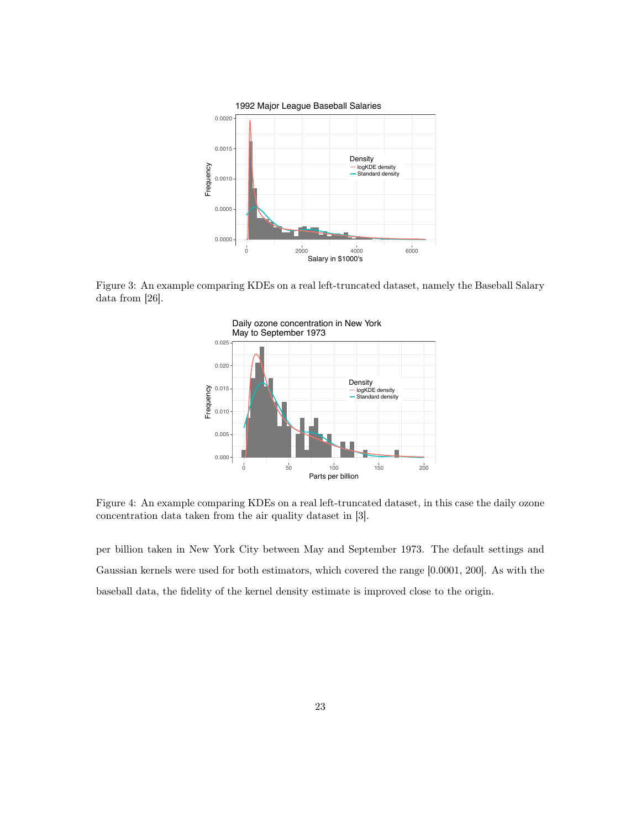

Figure 3: An example comparing KDEs on a real left-truncated dataset, namely the Baseball Salary data from [26].



Figure 4: An example comparing KDEs on a real left-truncated dataset, in this case the daily ozone concentration data taken from the air quality dataset in [3].

per billion taken in New York City between May and September 1973. The default settings and Gaussian kernels were used for both estimators, which covered the range [0.0001, 200]. As with the baseball data, the fidelity of the kernel density estimate is improved close to the origin.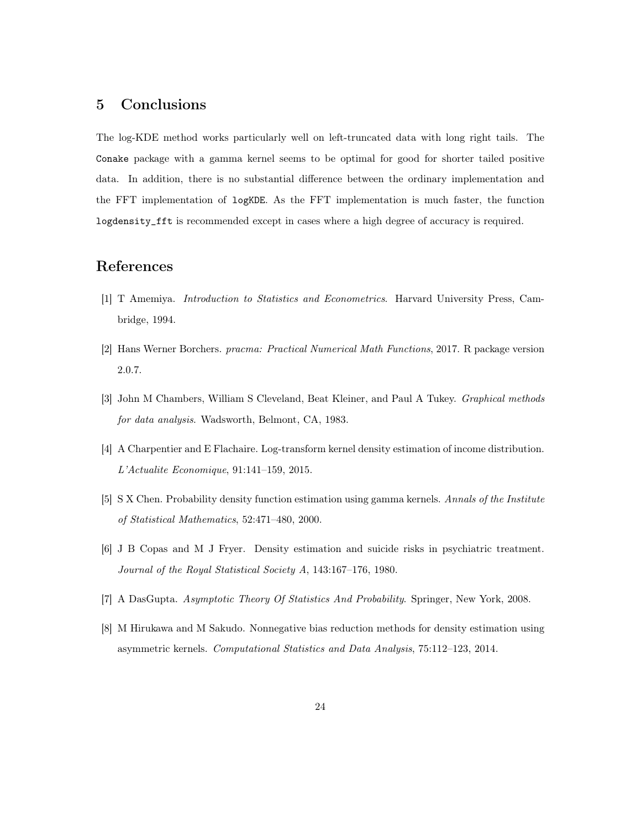# 5 Conclusions

The log-KDE method works particularly well on left-truncated data with long right tails. The Conake package with a gamma kernel seems to be optimal for good for shorter tailed positive data. In addition, there is no substantial difference between the ordinary implementation and the FFT implementation of logKDE. As the FFT implementation is much faster, the function logdensity\_fft is recommended except in cases where a high degree of accuracy is required.

# References

- [1] T Amemiya. *Introduction to Statistics and Econometrics*. Harvard University Press, Cambridge, 1994.
- [2] Hans Werner Borchers. *pracma: Practical Numerical Math Functions*, 2017. R package version 2.0.7.
- [3] John M Chambers, William S Cleveland, Beat Kleiner, and Paul A Tukey. *Graphical methods for data analysis*. Wadsworth, Belmont, CA, 1983.
- [4] A Charpentier and E Flachaire. Log-transform kernel density estimation of income distribution. *L'Actualite Economique*, 91:141–159, 2015.
- [5] S X Chen. Probability density function estimation using gamma kernels. *Annals of the Institute of Statistical Mathematics*, 52:471–480, 2000.
- [6] J B Copas and M J Fryer. Density estimation and suicide risks in psychiatric treatment. *Journal of the Royal Statistical Society A*, 143:167–176, 1980.
- [7] A DasGupta. *Asymptotic Theory Of Statistics And Probability*. Springer, New York, 2008.
- [8] M Hirukawa and M Sakudo. Nonnegative bias reduction methods for density estimation using asymmetric kernels. *Computational Statistics and Data Analysis*, 75:112–123, 2014.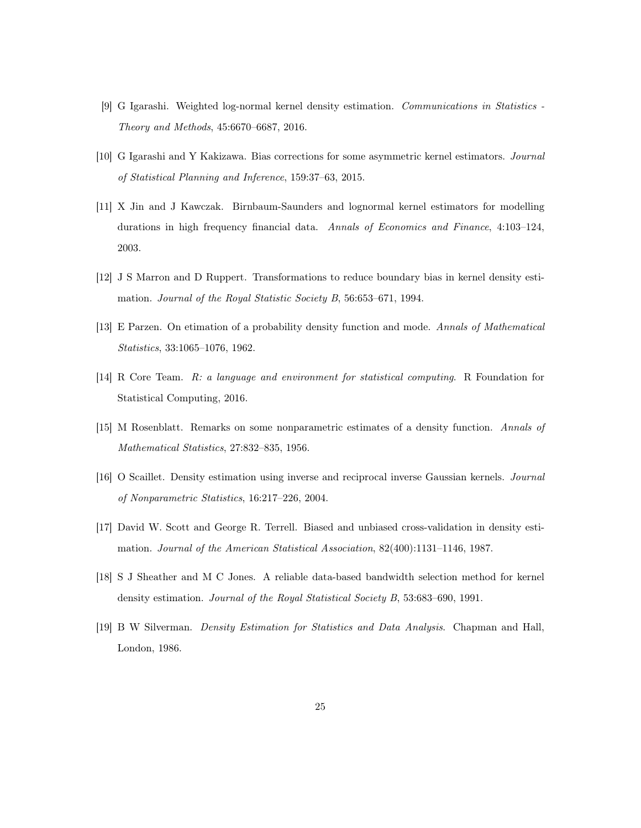- [9] G Igarashi. Weighted log-normal kernel density estimation. *Communications in Statistics - Theory and Methods*, 45:6670–6687, 2016.
- [10] G Igarashi and Y Kakizawa. Bias corrections for some asymmetric kernel estimators. *Journal of Statistical Planning and Inference*, 159:37–63, 2015.
- [11] X Jin and J Kawczak. Birnbaum-Saunders and lognormal kernel estimators for modelling durations in high frequency financial data. *Annals of Economics and Finance*, 4:103–124, 2003.
- [12] J S Marron and D Ruppert. Transformations to reduce boundary bias in kernel density estimation. *Journal of the Royal Statistic Society B*, 56:653–671, 1994.
- [13] E Parzen. On etimation of a probability density function and mode. *Annals of Mathematical Statistics*, 33:1065–1076, 1962.
- [14] R Core Team. *R: a language and environment for statistical computing*. R Foundation for Statistical Computing, 2016.
- [15] M Rosenblatt. Remarks on some nonparametric estimates of a density function. *Annals of Mathematical Statistics*, 27:832–835, 1956.
- [16] O Scaillet. Density estimation using inverse and reciprocal inverse Gaussian kernels. *Journal of Nonparametric Statistics*, 16:217–226, 2004.
- [17] David W. Scott and George R. Terrell. Biased and unbiased cross-validation in density estimation. *Journal of the American Statistical Association*, 82(400):1131–1146, 1987.
- [18] S J Sheather and M C Jones. A reliable data-based bandwidth selection method for kernel density estimation. *Journal of the Royal Statistical Society B*, 53:683–690, 1991.
- [19] B W Silverman. *Density Estimation for Statistics and Data Analysis*. Chapman and Hall, London, 1986.